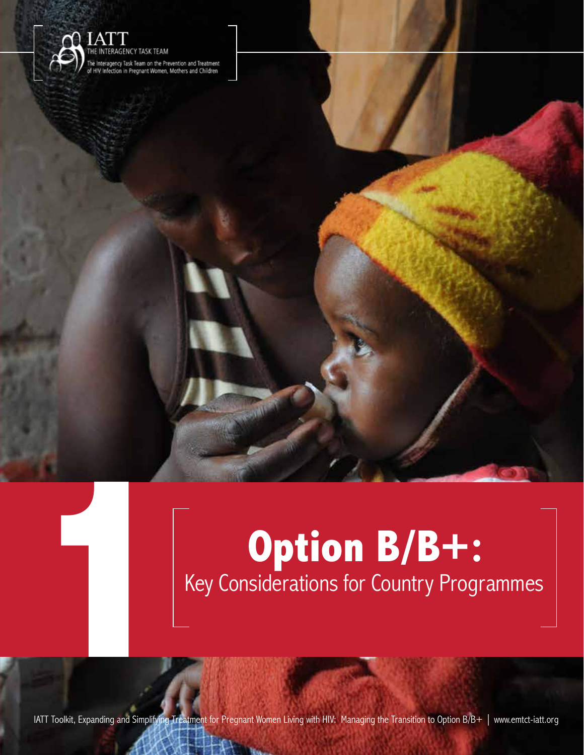

# **1 Option B/B+:**<br> **1 Rey Considerations for Country Progression Country Progression Country Progression Country Progression Country Progression Country Progression Country Progression Country Progression Country Progre** Key Considerations for Country Programmes

**1**

IATT Toolkit, Expanding and Simplifying Treatment for Pregnant Women Living with HIV: Managing the Transition to Option B/B+ | www.emtct-iatt.org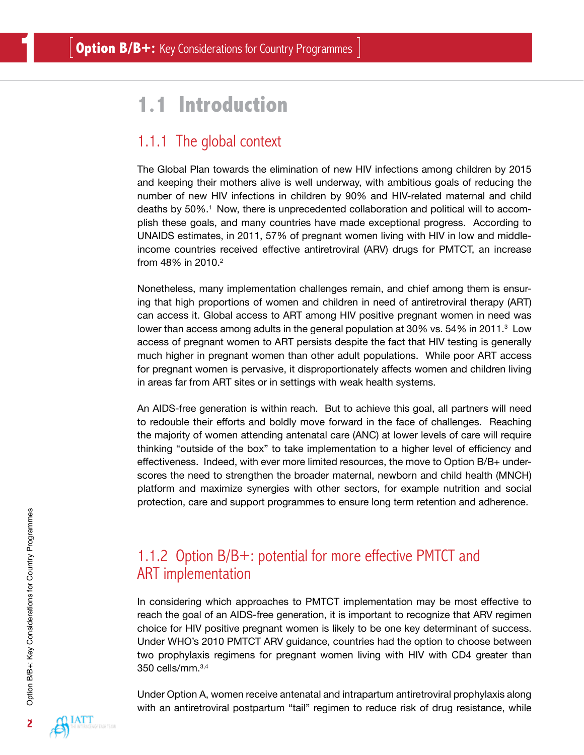# **1.1 Introduction**

# 1.1.1 The global context

The Global Plan towards the elimination of new HIV infections among children by 2015 and keeping their mothers alive is well underway, with ambitious goals of reducing the number of new HIV infections in children by 90% and HIV-related maternal and child deaths by 50%.<sup>1</sup> Now, there is unprecedented collaboration and political will to accomplish these goals, and many countries have made exceptional progress. According to UNAIDS estimates, in 2011, 57% of pregnant women living with HIV in low and middleincome countries received effective antiretroviral (ARV) drugs for PMTCT, an increase from 48% in 2010.<sup>2</sup>

Nonetheless, many implementation challenges remain, and chief among them is ensuring that high proportions of women and children in need of antiretroviral therapy (ART) can access it. Global access to ART among HIV positive pregnant women in need was lower than access among adults in the general population at 30% vs. 54% in 2011. $^{\rm 3}$  Low access of pregnant women to ART persists despite the fact that HIV testing is generally much higher in pregnant women than other adult populations. While poor ART access for pregnant women is pervasive, it disproportionately affects women and children living in areas far from ART sites or in settings with weak health systems.

An AIDS-free generation is within reach. But to achieve this goal, all partners will need to redouble their efforts and boldly move forward in the face of challenges. Reaching the majority of women attending antenatal care (ANC) at lower levels of care will require thinking "outside of the box" to take implementation to a higher level of efficiency and effectiveness. Indeed, with ever more limited resources, the move to Option B/B+ underscores the need to strengthen the broader maternal, newborn and child health (MNCH) platform and maximize synergies with other sectors, for example nutrition and social protection, care and support programmes to ensure long term retention and adherence.

# 1.1.2 Option B/B+: potential for more effective PMTCT and ART implementation

In considering which approaches to PMTCT implementation may be most effective to reach the goal of an AIDS-free generation, it is important to recognize that ARV regimen choice for HIV positive pregnant women is likely to be one key determinant of success. Under WHO's 2010 PMTCT ARV guidance, countries had the option to choose between two prophylaxis regimens for pregnant women living with HIV with CD4 greater than 350 cells/mm.3,4

Under Option A, women receive antenatal and intrapartum antiretroviral prophylaxis along with an antiretroviral postpartum "tail" regimen to reduce risk of drug resistance, while

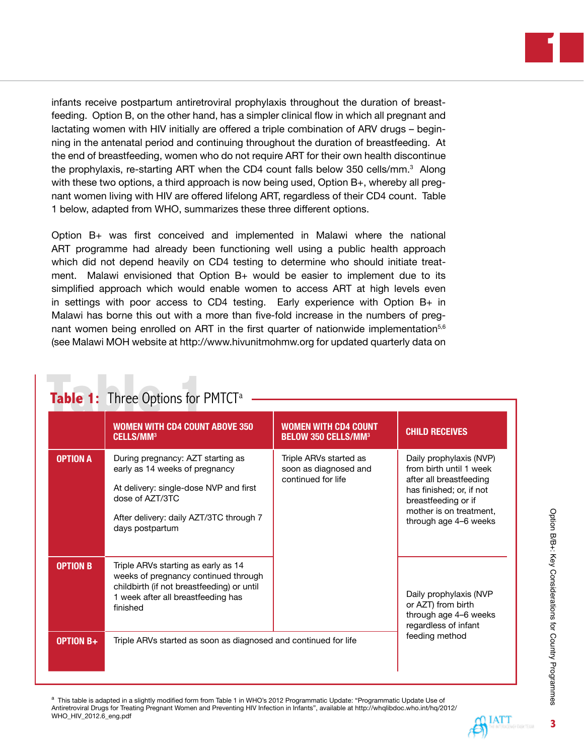infants receive postpartum antiretroviral prophylaxis throughout the duration of breastfeeding. Option B, on the other hand, has a simpler clinical flow in which all pregnant and lactating women with HIV initially are offered a triple combination of ARV drugs – beginning in the antenatal period and continuing throughout the duration of breastfeeding. At the end of breastfeeding, women who do not require ART for their own health discontinue the prophylaxis, re-starting ART when the CD4 count falls below 350 cells/mm.<sup>3</sup> Along with these two options, a third approach is now being used, Option B+, whereby all pregnant women living with HIV are offered lifelong ART, regardless of their CD4 count. Table 1 below, adapted from WHO, summarizes these three different options.

Option B+ was first conceived and implemented in Malawi where the national ART programme had already been functioning well using a public health approach which did not depend heavily on CD4 testing to determine who should initiate treatment. Malawi envisioned that Option B+ would be easier to implement due to its simplified approach which would enable women to access ART at high levels even in settings with poor access to CD4 testing. Early experience with Option B+ in Malawi has borne this out with a more than five-fold increase in the numbers of pregnant women being enrolled on ART in the first quarter of nationwide implementation<sup>5,6</sup> (see Malawi MOH website at<http://www.hivunitmohmw.org>for updated quarterly data on

| Table 1: Three Options for PMTCT <sup>a</sup> |                                                                                                                                                                                                |                                                                       |                                                                                                                                                                                      |
|-----------------------------------------------|------------------------------------------------------------------------------------------------------------------------------------------------------------------------------------------------|-----------------------------------------------------------------------|--------------------------------------------------------------------------------------------------------------------------------------------------------------------------------------|
|                                               | <b>WOMEN WITH CD4 COUNT ABOVE 350</b><br><b>CELLS/MM<sup>3</sup></b>                                                                                                                           | <b>WOMEN WITH CD4 COUNT</b><br><b>BELOW 350 CELLS/MM3</b>             | <b>CHILD RECEIVES</b>                                                                                                                                                                |
| <b>OPTION A</b>                               | During pregnancy: AZT starting as<br>early as 14 weeks of pregnancy<br>At delivery: single-dose NVP and first<br>dose of AZT/3TC<br>After delivery: daily AZT/3TC through 7<br>days postpartum | Triple ARVs started as<br>soon as diagnosed and<br>continued for life | Daily prophylaxis (NVP)<br>from birth until 1 week<br>after all breastfeeding<br>has finished; or, if not<br>breastfeeding or if<br>mother is on treatment.<br>through age 4-6 weeks |
| <b>OPTION B</b>                               | Triple ARVs starting as early as 14<br>weeks of pregnancy continued through<br>childbirth (if not breastfeeding) or until<br>1 week after all breastfeeding has<br>finished                    |                                                                       | Daily prophylaxis (NVP<br>or AZT) from birth<br>through age 4-6 weeks<br>regardless of infant                                                                                        |
| <b>OPTION B+</b>                              | Triple ARVs started as soon as diagnosed and continued for life                                                                                                                                |                                                                       | feeding method                                                                                                                                                                       |

<sup>a</sup> This table is adapted in a slightly modified form from Table 1 in WHO's 2012 Programmatic Update: "Programmatic Update Use of Antiretroviral Drugs for Treating Pregnant Women and Preventing HIV Infection in Infants", available at [http://whqlibdoc.who.int/hq/2012/](http://whqlibdoc.who.int/hq/2012/WHO_HIV_2012.6_eng.pdf) [WHO\\_HIV\\_2012.6\\_eng.pdf](http://whqlibdoc.who.int/hq/2012/WHO_HIV_2012.6_eng.pdf)

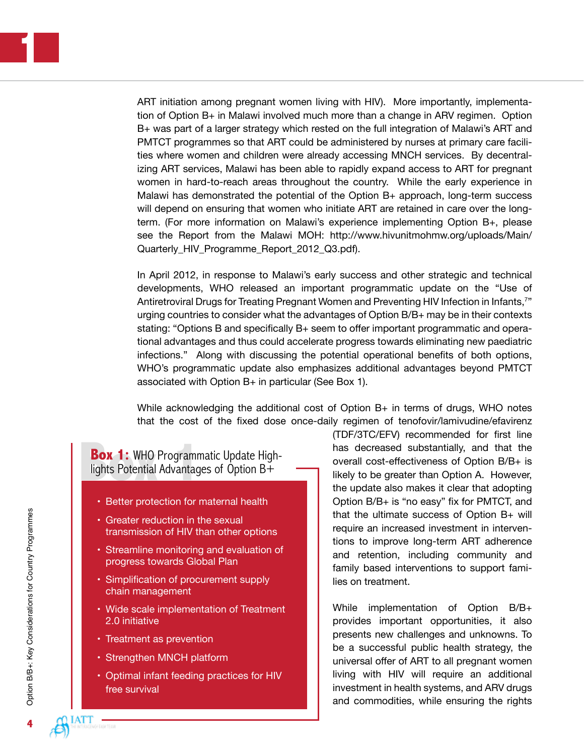ART initiation among pregnant women living with HIV). More importantly, implementation of Option B+ in Malawi involved much more than a change in ARV regimen. Option B+ was part of a larger strategy which rested on the full integration of Malawi's ART and PMTCT programmes so that ART could be administered by nurses at primary care facilities where women and children were already accessing MNCH services. By decentralizing ART services, Malawi has been able to rapidly expand access to ART for pregnant women in hard-to-reach areas throughout the country. While the early experience in Malawi has demonstrated the potential of the Option B+ approach, long-term success will depend on ensuring that women who initiate ART are retained in care over the longterm. (For more information on Malawi's experience implementing Option B+, please see the Report from the Malawi MOH: [http://www.hivunitmohmw.org/uploads/Main/](http://www.hivunitmohmw.org/uploads/Main/Quarterly_HIV_Programme_Report_2012_Q3.pdf) Quarterly HIV Programme Report 2012 Q3.pdf).

In April 2012, in response to Malawi's early success and other strategic and technical developments, WHO released an important programmatic update on the "Use of Antiretroviral Drugs for Treating Pregnant Women and Preventing HIV Infection in Infants,7 " urging countries to consider what the advantages of Option B/B+ may be in their contexts stating: "Options B and specifically B+ seem to offer important programmatic and operational advantages and thus could accelerate progress towards eliminating new paediatric infections." Along with discussing the potential operational benefits of both options, WHO's programmatic update also emphasizes additional advantages beyond PMTCT associated with Option B+ in particular (See Box 1).

While acknowledging the additional cost of Option B+ in terms of drugs, WHO notes that the cost of the fixed dose once-daily regimen of tenofovir/lamivudine/efavirenz

**Box 1:** WHO Programmatic Update High-<br>lights Potential Advantages of Option B+

- Better protection for maternal health
- Greater reduction in the sexual transmission of HIV than other options
- Streamline monitoring and evaluation of progress towards Global Plan
- Simplification of procurement supply chain management
- Wide scale implementation of Treatment 2.0 initiative
- Treatment as prevention
- Strengthen MNCH platform
- Optimal infant feeding practices for HIV free survival

(TDF/3TC/EFV) recommended for first line has decreased substantially, and that the overall cost-effectiveness of Option B/B+ is likely to be greater than Option A. However, the update also makes it clear that adopting Option B/B+ is "no easy" fix for PMTCT, and that the ultimate success of Option B+ will require an increased investment in interventions to improve long-term ART adherence and retention, including community and family based interventions to support families on treatment.

While implementation of Option B/B+ provides important opportunities, it also presents new challenges and unknowns. To be a successful public health strategy, the universal offer of ART to all pregnant women living with HIV will require an additional investment in health systems, and ARV drugs and commodities, while ensuring the rights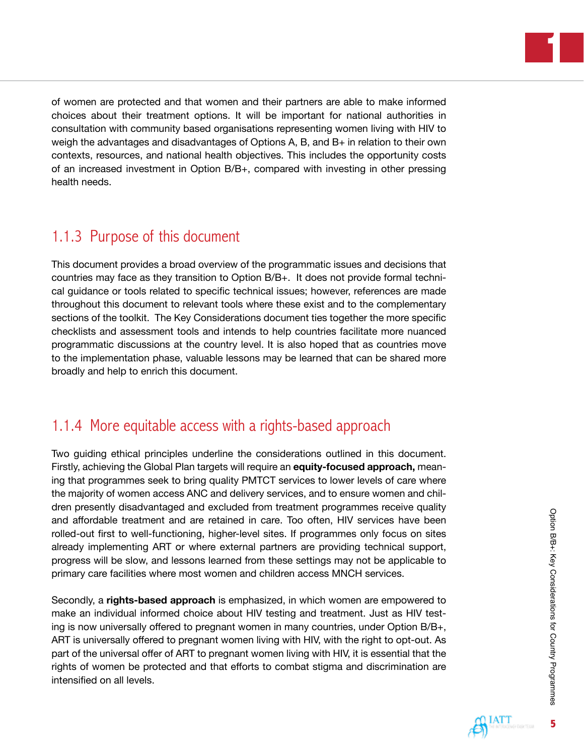

of women are protected and that women and their partners are able to make informed choices about their treatment options. It will be important for national authorities in consultation with community based organisations representing women living with HIV to weigh the advantages and disadvantages of Options A, B, and B+ in relation to their own contexts, resources, and national health objectives. This includes the opportunity costs of an increased investment in Option B/B+, compared with investing in other pressing health needs.

# 1.1.3 Purpose of this document

This document provides a broad overview of the programmatic issues and decisions that countries may face as they transition to Option B/B+. It does not provide formal technical guidance or tools related to specific technical issues; however, references are made throughout this document to relevant tools where these exist and to the complementary sections of the toolkit. The Key Considerations document ties together the more specific checklists and assessment tools and intends to help countries facilitate more nuanced programmatic discussions at the country level. It is also hoped that as countries move to the implementation phase, valuable lessons may be learned that can be shared more broadly and help to enrich this document.

# 1.1.4 More equitable access with a rights-based approach

Two guiding ethical principles underline the considerations outlined in this document. Firstly, achieving the Global Plan targets will require an **equity-focused approach,** meaning that programmes seek to bring quality PMTCT services to lower levels of care where the majority of women access ANC and delivery services, and to ensure women and children presently disadvantaged and excluded from treatment programmes receive quality and affordable treatment and are retained in care. Too often, HIV services have been rolled-out first to well-functioning, higher-level sites. If programmes only focus on sites already implementing ART or where external partners are providing technical support, progress will be slow, and lessons learned from these settings may not be applicable to primary care facilities where most women and children access MNCH services.

Secondly, a **rights-based approach** is emphasized, in which women are empowered to make an individual informed choice about HIV testing and treatment. Just as HIV testing is now universally offered to pregnant women in many countries, under Option B/B+, ART is universally offered to pregnant women living with HIV, with the right to opt-out. As part of the universal offer of ART to pregnant women living with HIV, it is essential that the rights of women be protected and that efforts to combat stigma and discrimination are intensified on all levels.

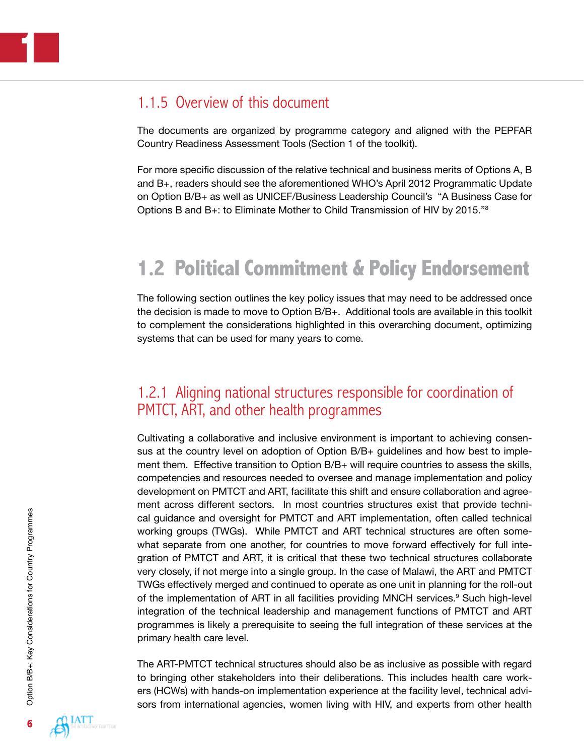### 1.1.5 Overview of this document

The documents are organized by programme category and aligned with the PEPFAR Country Readiness Assessment Tools (Section 1 of the toolkit).

For more specific discussion of the relative technical and business merits of Options A, B and B+, readers should see the aforementioned WHO's April 2012 Programmatic Update on Option B/B+ as well as UNICEF/Business Leadership Council's "A Business Case for Options B and B+: to Eliminate Mother to Child Transmission of HIV by 2015."8

# **1.2 Political Commitment & Policy Endorsement**

The following section outlines the key policy issues that may need to be addressed once the decision is made to move to Option B/B+. Additional tools are available in this toolkit to complement the considerations highlighted in this overarching document, optimizing systems that can be used for many years to come.

### 1.2.1 Aligning national structures responsible for coordination of PMTCT, ART, and other health programmes

Cultivating a collaborative and inclusive environment is important to achieving consensus at the country level on adoption of Option B/B+ guidelines and how best to implement them. Effective transition to Option B/B+ will require countries to assess the skills, competencies and resources needed to oversee and manage implementation and policy development on PMTCT and ART, facilitate this shift and ensure collaboration and agreement across different sectors. In most countries structures exist that provide technical guidance and oversight for PMTCT and ART implementation, often called technical working groups (TWGs). While PMTCT and ART technical structures are often somewhat separate from one another, for countries to move forward effectively for full integration of PMTCT and ART, it is critical that these two technical structures collaborate very closely, if not merge into a single group. In the case of Malawi, the ART and PMTCT TWGs effectively merged and continued to operate as one unit in planning for the roll-out of the implementation of ART in all facilities providing MNCH services.<sup>9</sup> Such high-level integration of the technical leadership and management functions of PMTCT and ART programmes is likely a prerequisite to seeing the full integration of these services at the primary health care level.

The ART-PMTCT technical structures should also be as inclusive as possible with regard to bringing other stakeholders into their deliberations. This includes health care workers (HCWs) with hands-on implementation experience at the facility level, technical advisors from international agencies, women living with HIV, and experts from other health

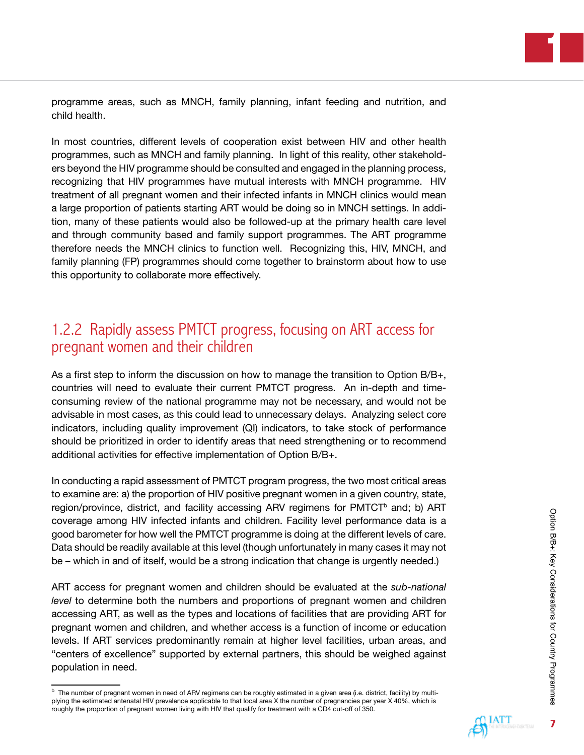programme areas, such as MNCH, family planning, infant feeding and nutrition, and child health.

In most countries, different levels of cooperation exist between HIV and other health programmes, such as MNCH and family planning. In light of this reality, other stakeholders beyond the HIV programme should be consulted and engaged in the planning process, recognizing that HIV programmes have mutual interests with MNCH programme. HIV treatment of all pregnant women and their infected infants in MNCH clinics would mean a large proportion of patients starting ART would be doing so in MNCH settings. In addition, many of these patients would also be followed-up at the primary health care level and through community based and family support programmes. The ART programme therefore needs the MNCH clinics to function well. Recognizing this, HIV, MNCH, and family planning (FP) programmes should come together to brainstorm about how to use this opportunity to collaborate more effectively.

# 1.2.2 Rapidly assess PMTCT progress, focusing on ART access for pregnant women and their children

As a first step to inform the discussion on how to manage the transition to Option B/B+, countries will need to evaluate their current PMTCT progress. An in-depth and timeconsuming review of the national programme may not be necessary, and would not be advisable in most cases, as this could lead to unnecessary delays. Analyzing select core indicators, including quality improvement (QI) indicators, to take stock of performance should be prioritized in order to identify areas that need strengthening or to recommend additional activities for effective implementation of Option B/B+.

In conducting a rapid assessment of PMTCT program progress, the two most critical areas to examine are: a) the proportion of HIV positive pregnant women in a given country, state, region/province, district, and facility accessing ARV regimens for  $PMTCT<sup>b</sup>$  and; b) ART coverage among HIV infected infants and children. Facility level performance data is a good barometer for how well the PMTCT programme is doing at the different levels of care. Data should be readily available at this level (though unfortunately in many cases it may not be – which in and of itself, would be a strong indication that change is urgently needed.)

ART access for pregnant women and children should be evaluated at the *sub-national level* to determine both the numbers and proportions of pregnant women and children accessing ART, as well as the types and locations of facilities that are providing ART for pregnant women and children, and whether access is a function of income or education levels. If ART services predominantly remain at higher level facilities, urban areas, and "centers of excellence" supported by external partners, this should be weighed against population in need.



<sup>&</sup>lt;sup>b</sup> The number of pregnant women in need of ARV regimens can be roughly estimated in a given area (i.e. district, facility) by multiplying the estimated antenatal HIV prevalence applicable to that local area X the number of pregnancies per year X 40%, which is roughly the proportion of pregnant women living with HIV that qualify for treatment with a CD4 cut-off of 350.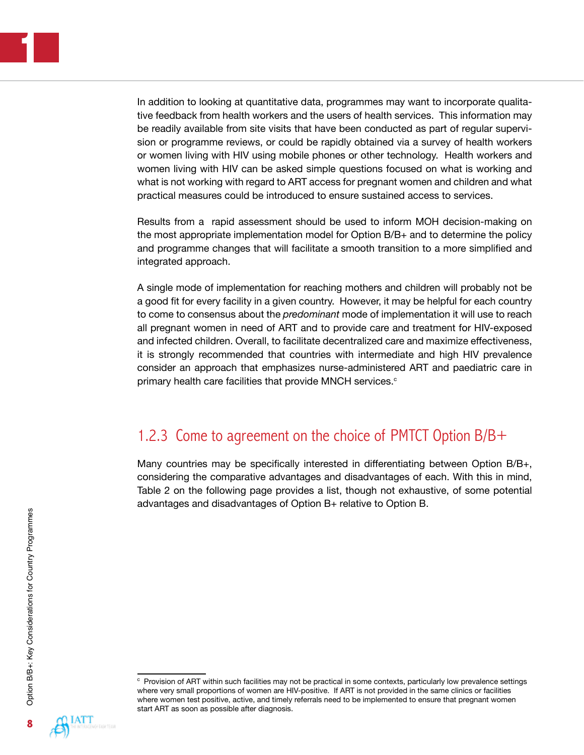In addition to looking at quantitative data, programmes may want to incorporate qualitative feedback from health workers and the users of health services. This information may be readily available from site visits that have been conducted as part of regular supervision or programme reviews, or could be rapidly obtained via a survey of health workers or women living with HIV using mobile phones or other technology. Health workers and women living with HIV can be asked simple questions focused on what is working and what is not working with regard to ART access for pregnant women and children and what practical measures could be introduced to ensure sustained access to services.

Results from a rapid assessment should be used to inform MOH decision-making on the most appropriate implementation model for Option B/B+ and to determine the policy and programme changes that will facilitate a smooth transition to a more simplified and integrated approach.

A single mode of implementation for reaching mothers and children will probably not be a good fit for every facility in a given country. However, it may be helpful for each country to come to consensus about the *predominant* mode of implementation it will use to reach all pregnant women in need of ART and to provide care and treatment for HIV-exposed and infected children. Overall, to facilitate decentralized care and maximize effectiveness, it is strongly recommended that countries with intermediate and high HIV prevalence consider an approach that emphasizes nurse-administered ART and paediatric care in primary health care facilities that provide MNCH services. $\circ$ 

### 1.2.3 Come to agreement on the choice of PMTCT Option B/B+

Many countries may be specifically interested in differentiating between Option B/B+, considering the comparative advantages and disadvantages of each. With this in mind, Table 2 on the following page provides a list, though not exhaustive, of some potential advantages and disadvantages of Option B+ relative to Option B.



c Provision of ART within such facilities may not be practical in some contexts, particularly low prevalence settings where very small proportions of women are HIV-positive. If ART is not provided in the same clinics or facilities where women test positive, active, and timely referrals need to be implemented to ensure that pregnant women start ART as soon as possible after diagnosis.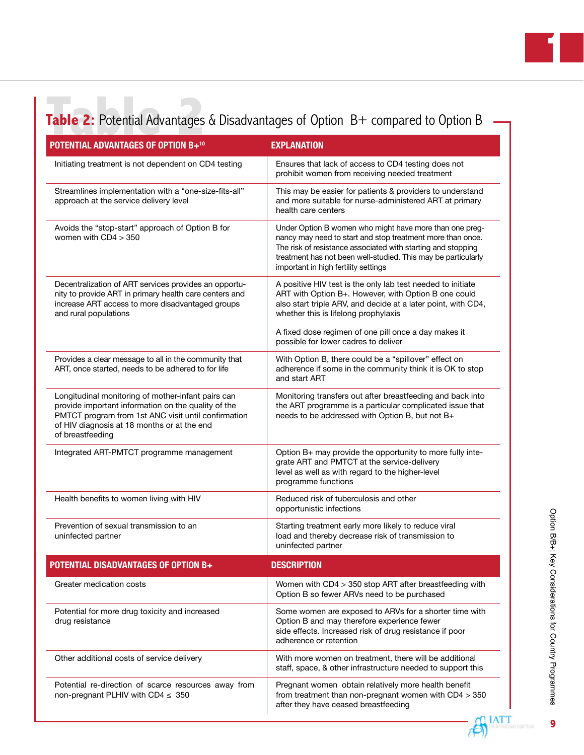# **Table 2:** Potential Advantages & Disadvantages of Option B+ compared to Option B

| <b>POTENTIAL ADVANTAGES OF OPTION B+10</b>                                                                                                                                                                                          | <b>EXPLANATION</b>                                                                                                                                                                                                                                                                             |  |
|-------------------------------------------------------------------------------------------------------------------------------------------------------------------------------------------------------------------------------------|------------------------------------------------------------------------------------------------------------------------------------------------------------------------------------------------------------------------------------------------------------------------------------------------|--|
| Initiating treatment is not dependent on CD4 testing                                                                                                                                                                                | Ensures that lack of access to CD4 testing does not<br>prohibit women from receiving needed treatment                                                                                                                                                                                          |  |
| Streamlines implementation with a "one-size-fits-all"<br>approach at the service delivery level                                                                                                                                     | This may be easier for patients & providers to understand<br>and more suitable for nurse-administered ART at primary<br>health care centers                                                                                                                                                    |  |
| Avoids the "stop-start" approach of Option B for<br>women with $CD4 > 350$                                                                                                                                                          | Under Option B women who might have more than one preg-<br>nancy may need to start and stop treatment more than once.<br>The risk of resistance associated with starting and stopping<br>treatment has not been well-studied. This may be particularly<br>important in high fertility settings |  |
| Decentralization of ART services provides an opportu-<br>nity to provide ART in primary health care centers and<br>increase ART access to more disadvantaged groups<br>and rural populations                                        | A positive HIV test is the only lab test needed to initiate<br>ART with Option B+. However, with Option B one could<br>also start triple ARV, and decide at a later point, with CD4,<br>whether this is lifelong prophylaxis                                                                   |  |
|                                                                                                                                                                                                                                     | A fixed dose regimen of one pill once a day makes it<br>possible for lower cadres to deliver                                                                                                                                                                                                   |  |
| Provides a clear message to all in the community that<br>ART, once started, needs to be adhered to for life                                                                                                                         | With Option B, there could be a "spillover" effect on<br>adherence if some in the community think it is OK to stop<br>and start ART                                                                                                                                                            |  |
| Longitudinal monitoring of mother-infant pairs can<br>provide important information on the quality of the<br>PMTCT program from 1st ANC visit until confirmation<br>of HIV diagnosis at 18 months or at the end<br>of breastfeeding | Monitoring transfers out after breastfeeding and back into<br>the ART programme is a particular complicated issue that<br>needs to be addressed with Option B, but not B+                                                                                                                      |  |
| Integrated ART-PMTCT programme management                                                                                                                                                                                           | Option B+ may provide the opportunity to more fully inte-<br>grate ART and PMTCT at the service-delivery<br>level as well as with regard to the higher-level<br>programme functions                                                                                                            |  |
| Health benefits to women living with HIV                                                                                                                                                                                            | Reduced risk of tuberculosis and other<br>opportunistic infections                                                                                                                                                                                                                             |  |
| Prevention of sexual transmission to an<br>uninfected partner                                                                                                                                                                       | Starting treatment early more likely to reduce viral<br>load and thereby decrease risk of transmission to<br>uninfected partner                                                                                                                                                                |  |
| <b>POTENTIAL DISADVANTAGES OF OPTION B+</b>                                                                                                                                                                                         | <b>DESCRIPTION</b>                                                                                                                                                                                                                                                                             |  |
| Greater medication costs                                                                                                                                                                                                            | Women with CD4 > 350 stop ART after breastfeeding with<br>Option B so fewer ARVs need to be purchased                                                                                                                                                                                          |  |
| Potential for more drug toxicity and increased<br>drug resistance                                                                                                                                                                   | Some women are exposed to ARVs for a shorter time with<br>Option B and may therefore experience fewer<br>side effects. Increased risk of drug resistance if poor<br>adherence or retention                                                                                                     |  |
| Other additional costs of service delivery                                                                                                                                                                                          | With more women on treatment, there will be additional<br>staff, space, & other infrastructure needed to support this                                                                                                                                                                          |  |
| Potential re-direction of scarce resources away from<br>non-pregnant PLHIV with CD4 $\leq$ 350                                                                                                                                      | Pregnant women obtain relatively more health benefit<br>from treatment than non-pregnant women with $CD4 > 350$<br>after they have ceased breastfeeding                                                                                                                                        |  |

**1**

**IATT** -8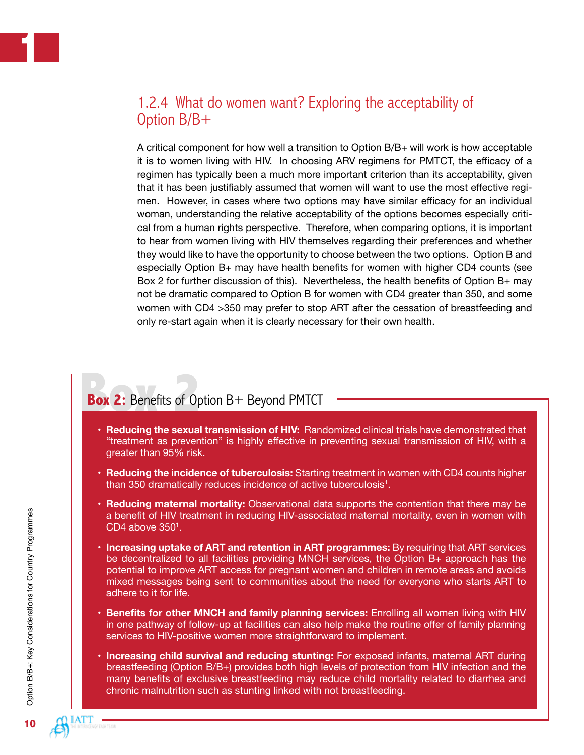# 1.2.4 What do women want? Exploring the acceptability of Option B/B+

A critical component for how well a transition to Option B/B+ will work is how acceptable it is to women living with HIV. In choosing ARV regimens for PMTCT, the efficacy of a regimen has typically been a much more important criterion than its acceptability, given that it has been justifiably assumed that women will want to use the most effective regimen. However, in cases where two options may have similar efficacy for an individual woman, understanding the relative acceptability of the options becomes especially critical from a human rights perspective. Therefore, when comparing options, it is important to hear from women living with HIV themselves regarding their preferences and whether they would like to have the opportunity to choose between the two options. Option B and especially Option B+ may have health benefits for women with higher CD4 counts (see Box 2 for further discussion of this). Nevertheless, the health benefits of Option B+ may not be dramatic compared to Option B for women with CD4 greater than 350, and some women with CD4 >350 may prefer to stop ART after the cessation of breastfeeding and only re-start again when it is clearly necessary for their own health.

# **Box 2:** Benefits of Option B+ Beyond PMTCT

- **Reducing the sexual transmission of HIV:** Randomized clinical trials have demonstrated that "treatment as prevention" is highly effective in preventing sexual transmission of HIV, with a greater than 95% risk.
- **• Reducing the incidence of tuberculosis:** Starting treatment in women with CD4 counts higher than 350 dramatically reduces incidence of active tuberculosis $^1$ .
- **• Reducing maternal mortality:** Observational data supports the contention that there may be a benefit of HIV treatment in reducing HIV-associated maternal mortality, even in women with  $CD4$  above  $350<sup>1</sup>$ .
- **• Increasing uptake of ART and retention in ART programmes:** By requiring that ART services be decentralized to all facilities providing MNCH services, the Option B+ approach has the potential to improve ART access for pregnant women and children in remote areas and avoids mixed messages being sent to communities about the need for everyone who starts ART to adhere to it for life.
- **• Benefits for other MNCH and family planning services:** Enrolling all women living with HIV in one pathway of follow-up at facilities can also help make the routine offer of family planning services to HIV-positive women more straightforward to implement.
- **• Increasing child survival and reducing stunting:** For exposed infants, maternal ART during breastfeeding (Option B/B+) provides both high levels of protection from HIV infection and the many benefits of exclusive breastfeeding may reduce child mortality related to diarrhea and chronic malnutrition such as stunting linked with not breastfeeding.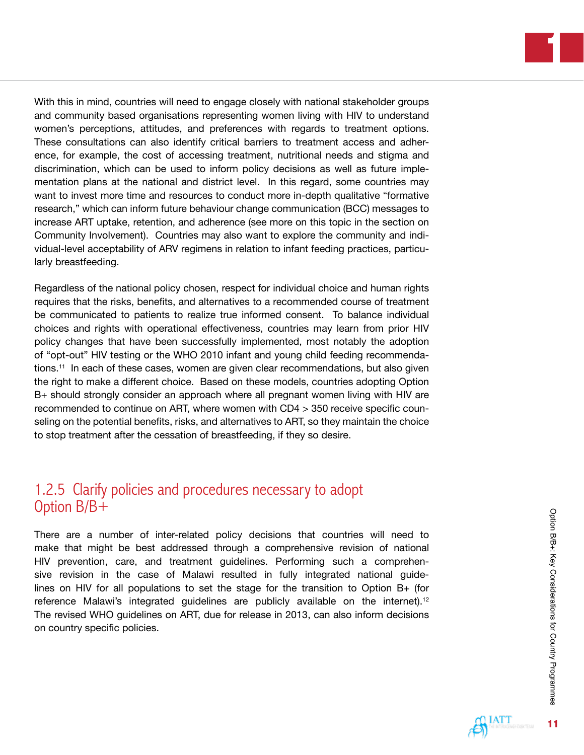**1**

With this in mind, countries will need to engage closely with national stakeholder groups and community based organisations representing women living with HIV to understand women's perceptions, attitudes, and preferences with regards to treatment options. These consultations can also identify critical barriers to treatment access and adherence, for example, the cost of accessing treatment, nutritional needs and stigma and discrimination, which can be used to inform policy decisions as well as future implementation plans at the national and district level. In this regard, some countries may want to invest more time and resources to conduct more in-depth qualitative "formative research," which can inform future behaviour change communication (BCC) messages to increase ART uptake, retention, and adherence (see more on this topic in the section on Community Involvement). Countries may also want to explore the community and individual-level acceptability of ARV regimens in relation to infant feeding practices, particularly breastfeeding.

Regardless of the national policy chosen, respect for individual choice and human rights requires that the risks, benefits, and alternatives to a recommended course of treatment be communicated to patients to realize true informed consent. To balance individual choices and rights with operational effectiveness, countries may learn from prior HIV policy changes that have been successfully implemented, most notably the adoption of "opt-out" HIV testing or the WHO 2010 infant and young child feeding recommendations.11 In each of these cases, women are given clear recommendations, but also given the right to make a different choice. Based on these models, countries adopting Option B+ should strongly consider an approach where all pregnant women living with HIV are recommended to continue on ART, where women with CD4 > 350 receive specific counseling on the potential benefits, risks, and alternatives to ART, so they maintain the choice to stop treatment after the cessation of breastfeeding, if they so desire.

# 1.2.5 Clarify policies and procedures necessary to adopt Option B/B+

There are a number of inter-related policy decisions that countries will need to make that might be best addressed through a comprehensive revision of national HIV prevention, care, and treatment guidelines. Performing such a comprehensive revision in the case of Malawi resulted in fully integrated national guidelines on HIV for all populations to set the stage for the transition to Option  $B_{+}$  (for reference Malawi's integrated guidelines are publicly available on the internet).<sup>12</sup> The revised WHO guidelines on ART, due for release in 2013, can also inform decisions on country specific policies.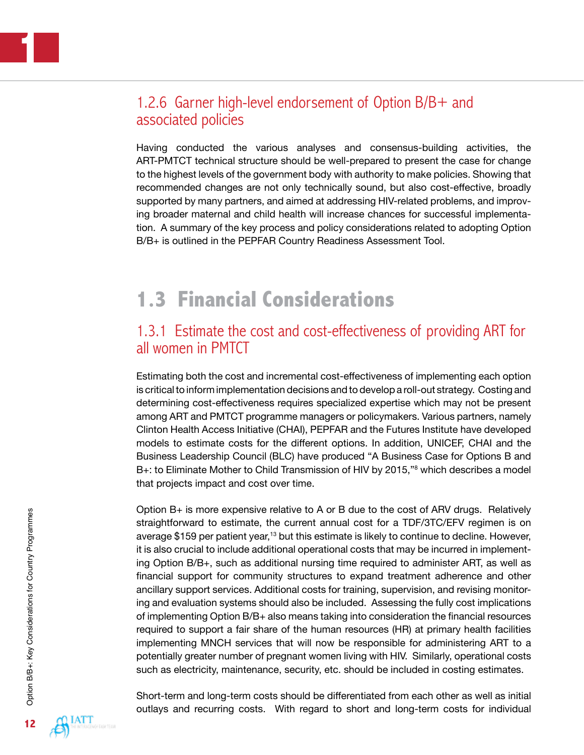# 1.2.6 Garner high-level endorsement of Option B/B+ and associated policies

Having conducted the various analyses and consensus-building activities, the ART-PMTCT technical structure should be well-prepared to present the case for change to the highest levels of the government body with authority to make policies. Showing that recommended changes are not only technically sound, but also cost-effective, broadly supported by many partners, and aimed at addressing HIV-related problems, and improving broader maternal and child health will increase chances for successful implementation. A summary of the key process and policy considerations related to adopting Option B/B+ is outlined in the PEPFAR Country Readiness Assessment Tool.

# **1.3 Financial Considerations**

### 1.3.1 Estimate the cost and cost-effectiveness of providing ART for all women in PMTCT

Estimating both the cost and incremental cost-effectiveness of implementing each option is critical to inform implementation decisions and to develop a roll-out strategy. Costing and determining cost-effectiveness requires specialized expertise which may not be present among ART and PMTCT programme managers or policymakers. Various partners, namely Clinton Health Access Initiative (CHAI), PEPFAR and the Futures Institute have developed models to estimate costs for the different options. In addition, UNICEF, CHAI and the Business Leadership Council (BLC) have produced "A Business Case for Options B and B+: to Eliminate Mother to Child Transmission of HIV by 2015,"<sup>8</sup> which describes a model that projects impact and cost over time.

Option B+ is more expensive relative to A or B due to the cost of ARV drugs. Relatively straightforward to estimate, the current annual cost for a TDF/3TC/EFV regimen is on average \$159 per patient year,<sup>13</sup> but this estimate is likely to continue to decline. However, it is also crucial to include additional operational costs that may be incurred in implementing Option B/B+, such as additional nursing time required to administer ART, as well as financial support for community structures to expand treatment adherence and other ancillary support services. Additional costs for training, supervision, and revising monitoring and evaluation systems should also be included. Assessing the fully cost implications of implementing Option B/B+ also means taking into consideration the financial resources required to support a fair share of the human resources (HR) at primary health facilities implementing MNCH services that will now be responsible for administering ART to a potentially greater number of pregnant women living with HIV. Similarly, operational costs such as electricity, maintenance, security, etc. should be included in costing estimates.

Short-term and long-term costs should be differentiated from each other as well as initial outlays and recurring costs. With regard to short and long-term costs for individual

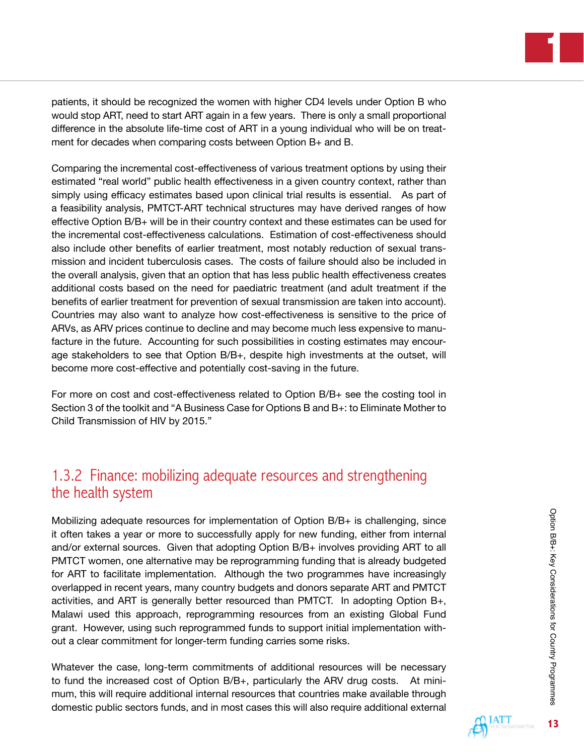**1**

patients, it should be recognized the women with higher CD4 levels under Option B who would stop ART, need to start ART again in a few years. There is only a small proportional difference in the absolute life-time cost of ART in a young individual who will be on treatment for decades when comparing costs between Option B+ and B.

Comparing the incremental cost-effectiveness of various treatment options by using their estimated "real world" public health effectiveness in a given country context, rather than simply using efficacy estimates based upon clinical trial results is essential. As part of a feasibility analysis, PMTCT-ART technical structures may have derived ranges of how effective Option B/B+ will be in their country context and these estimates can be used for the incremental cost-effectiveness calculations. Estimation of cost-effectiveness should also include other benefits of earlier treatment, most notably reduction of sexual transmission and incident tuberculosis cases. The costs of failure should also be included in the overall analysis, given that an option that has less public health effectiveness creates additional costs based on the need for paediatric treatment (and adult treatment if the benefits of earlier treatment for prevention of sexual transmission are taken into account). Countries may also want to analyze how cost-effectiveness is sensitive to the price of ARVs, as ARV prices continue to decline and may become much less expensive to manufacture in the future. Accounting for such possibilities in costing estimates may encourage stakeholders to see that Option B/B+, despite high investments at the outset, will become more cost-effective and potentially cost-saving in the future.

For more on cost and cost-effectiveness related to Option B/B+ see the costing tool in Section 3 of the toolkit and "A Business Case for Options B and B+: to Eliminate Mother to Child Transmission of HIV by 2015."

# 1.3.2 Finance: mobilizing adequate resources and strengthening the health system

Mobilizing adequate resources for implementation of Option B/B+ is challenging, since it often takes a year or more to successfully apply for new funding, either from internal and/or external sources. Given that adopting Option B/B+ involves providing ART to all PMTCT women, one alternative may be reprogramming funding that is already budgeted for ART to facilitate implementation. Although the two programmes have increasingly overlapped in recent years, many country budgets and donors separate ART and PMTCT activities, and ART is generally better resourced than PMTCT. In adopting Option B+, Malawi used this approach, reprogramming resources from an existing Global Fund grant. However, using such reprogrammed funds to support initial implementation without a clear commitment for longer-term funding carries some risks.

Whatever the case, long-term commitments of additional resources will be necessary to fund the increased cost of Option B/B+, particularly the ARV drug costs. At minimum, this will require additional internal resources that countries make available through domestic public sectors funds, and in most cases this will also require additional external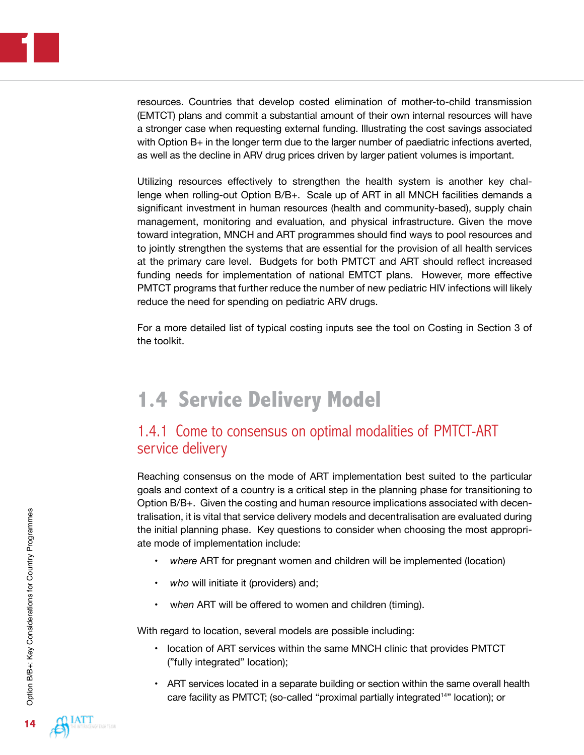resources. Countries that develop costed elimination of mother-to-child transmission (EMTCT) plans and commit a substantial amount of their own internal resources will have a stronger case when requesting external funding. Illustrating the cost savings associated with Option B+ in the longer term due to the larger number of paediatric infections averted, as well as the decline in ARV drug prices driven by larger patient volumes is important.

Utilizing resources effectively to strengthen the health system is another key challenge when rolling-out Option B/B+. Scale up of ART in all MNCH facilities demands a significant investment in human resources (health and community-based), supply chain management, monitoring and evaluation, and physical infrastructure. Given the move toward integration, MNCH and ART programmes should find ways to pool resources and to jointly strengthen the systems that are essential for the provision of all health services at the primary care level. Budgets for both PMTCT and ART should reflect increased funding needs for implementation of national EMTCT plans. However, more effective PMTCT programs that further reduce the number of new pediatric HIV infections will likely reduce the need for spending on pediatric ARV drugs.

For a more detailed list of typical costing inputs see the tool on Costing in Section 3 of the toolkit.

# **1.4 Service Delivery Model**

### 1.4.1 Come to consensus on optimal modalities of PMTCT-ART service delivery

Reaching consensus on the mode of ART implementation best suited to the particular goals and context of a country is a critical step in the planning phase for transitioning to Option B/B+. Given the costing and human resource implications associated with decentralisation, it is vital that service delivery models and decentralisation are evaluated during the initial planning phase. Key questions to consider when choosing the most appropriate mode of implementation include:

- where ART for pregnant women and children will be implemented (location)
- *who* will initiate it (providers) and;
- when ART will be offered to women and children (timing).

With regard to location, several models are possible including:

- location of ART services within the same MNCH clinic that provides PMTCT ("fully integrated" location);
- ART services located in a separate building or section within the same overall health care facility as PMTCT; (so-called "proximal partially integrated<sup>14"</sup> location); or

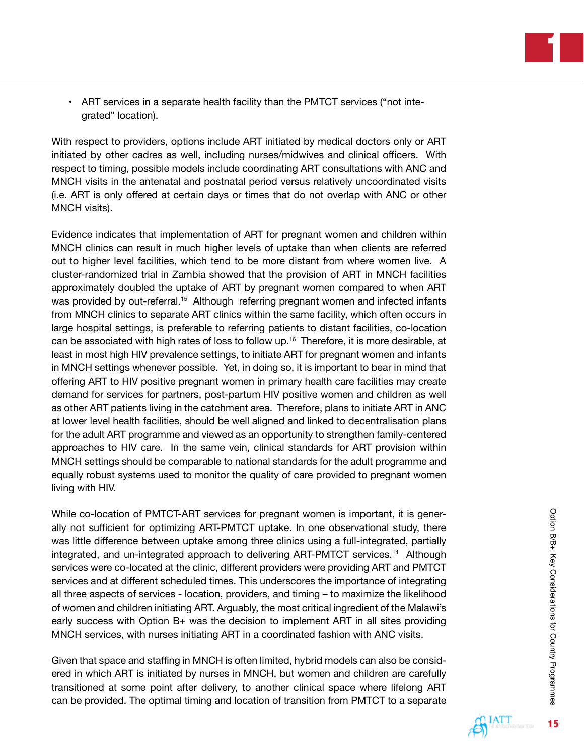• ART services in a separate health facility than the PMTCT services ("not integrated" location).

With respect to providers, options include ART initiated by medical doctors only or ART initiated by other cadres as well, including nurses/midwives and clinical officers. With respect to timing, possible models include coordinating ART consultations with ANC and MNCH visits in the antenatal and postnatal period versus relatively uncoordinated visits (i.e. ART is only offered at certain days or times that do not overlap with ANC or other MNCH visits).

Evidence indicates that implementation of ART for pregnant women and children within MNCH clinics can result in much higher levels of uptake than when clients are referred out to higher level facilities, which tend to be more distant from where women live. A cluster-randomized trial in Zambia showed that the provision of ART in MNCH facilities approximately doubled the uptake of ART by pregnant women compared to when ART was provided by out-referral.<sup>15</sup> Although referring pregnant women and infected infants from MNCH clinics to separate ART clinics within the same facility, which often occurs in large hospital settings, is preferable to referring patients to distant facilities, co-location can be associated with high rates of loss to follow up.<sup>16</sup> Therefore, it is more desirable, at least in most high HIV prevalence settings, to initiate ART for pregnant women and infants in MNCH settings whenever possible. Yet, in doing so, it is important to bear in mind that offering ART to HIV positive pregnant women in primary health care facilities may create demand for services for partners, post-partum HIV positive women and children as well as other ART patients living in the catchment area. Therefore, plans to initiate ART in ANC at lower level health facilities, should be well aligned and linked to decentralisation plans for the adult ART programme and viewed as an opportunity to strengthen family-centered approaches to HIV care. In the same vein, clinical standards for ART provision within MNCH settings should be comparable to national standards for the adult programme and equally robust systems used to monitor the quality of care provided to pregnant women living with HIV.

While co-location of PMTCT-ART services for pregnant women is important, it is generally not sufficient for optimizing ART-PMTCT uptake. In one observational study, there was little difference between uptake among three clinics using a full-integrated, partially integrated, and un-integrated approach to delivering ART-PMTCT services.<sup>14</sup> Although services were co-located at the clinic, different providers were providing ART and PMTCT services and at different scheduled times. This underscores the importance of integrating all three aspects of services - location, providers, and timing – to maximize the likelihood of women and children initiating ART. Arguably, the most critical ingredient of the Malawi's early success with Option  $B<sub>+</sub>$  was the decision to implement ART in all sites providing MNCH services, with nurses initiating ART in a coordinated fashion with ANC visits.

Given that space and staffing in MNCH is often limited, hybrid models can also be considered in which ART is initiated by nurses in MNCH, but women and children are carefully transitioned at some point after delivery, to another clinical space where lifelong ART can be provided. The optimal timing and location of transition from PMTCT to a separate

**15**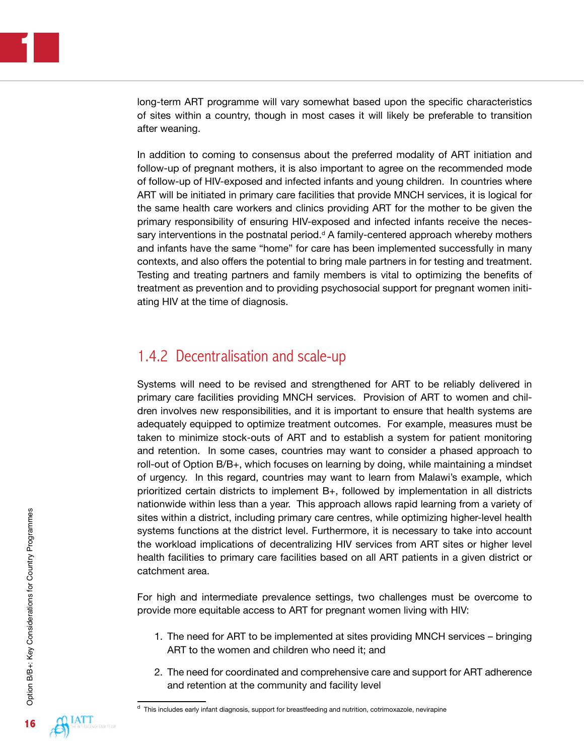long-term ART programme will vary somewhat based upon the specific characteristics of sites within a country, though in most cases it will likely be preferable to transition after weaning.

In addition to coming to consensus about the preferred modality of ART initiation and follow-up of pregnant mothers, it is also important to agree on the recommended mode of follow-up of HIV-exposed and infected infants and young children. In countries where ART will be initiated in primary care facilities that provide MNCH services, it is logical for the same health care workers and clinics providing ART for the mother to be given the primary responsibility of ensuring HIV-exposed and infected infants receive the necessary interventions in the postnatal period. $d$  A family-centered approach whereby mothers and infants have the same "home" for care has been implemented successfully in many contexts, and also offers the potential to bring male partners in for testing and treatment. Testing and treating partners and family members is vital to optimizing the benefits of treatment as prevention and to providing psychosocial support for pregnant women initiating HIV at the time of diagnosis.

### 1.4.2 Decentralisation and scale-up

Systems will need to be revised and strengthened for ART to be reliably delivered in primary care facilities providing MNCH services. Provision of ART to women and children involves new responsibilities, and it is important to ensure that health systems are adequately equipped to optimize treatment outcomes. For example, measures must be taken to minimize stock-outs of ART and to establish a system for patient monitoring and retention. In some cases, countries may want to consider a phased approach to roll-out of Option B/B+, which focuses on learning by doing, while maintaining a mindset of urgency. In this regard, countries may want to learn from Malawi's example, which prioritized certain districts to implement B+, followed by implementation in all districts nationwide within less than a year. This approach allows rapid learning from a variety of sites within a district, including primary care centres, while optimizing higher-level health systems functions at the district level. Furthermore, it is necessary to take into account the workload implications of decentralizing HIV services from ART sites or higher level health facilities to primary care facilities based on all ART patients in a given district or catchment area.

For high and intermediate prevalence settings, two challenges must be overcome to provide more equitable access to ART for pregnant women living with HIV:

- 1. The need for ART to be implemented at sites providing MNCH services bringing ART to the women and children who need it; and
- 2. The need for coordinated and comprehensive care and support for ART adherence and retention at the community and facility level

 $d$  This includes early infant diagnosis, support for breastfeeding and nutrition, cotrimoxazole, nevirapine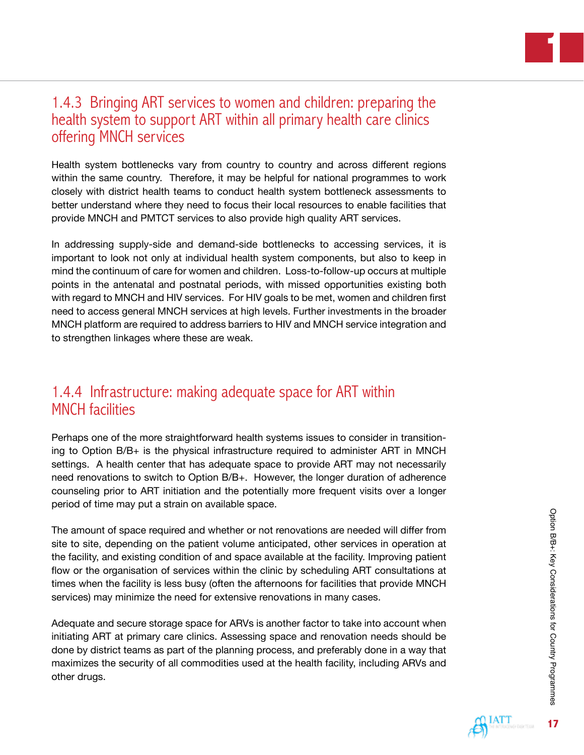# 1.4.3 Bringing ART services to women and children: preparing the health system to support ART within all primary health care clinics offering MNCH services

Health system bottlenecks vary from country to country and across different regions within the same country. Therefore, it may be helpful for national programmes to work closely with district health teams to conduct health system bottleneck assessments to better understand where they need to focus their local resources to enable facilities that provide MNCH and PMTCT services to also provide high quality ART services.

In addressing supply-side and demand-side bottlenecks to accessing services, it is important to look not only at individual health system components, but also to keep in mind the continuum of care for women and children. Loss-to-follow-up occurs at multiple points in the antenatal and postnatal periods, with missed opportunities existing both with regard to MNCH and HIV services. For HIV goals to be met, women and children first need to access general MNCH services at high levels. Further investments in the broader MNCH platform are required to address barriers to HIV and MNCH service integration and to strengthen linkages where these are weak.

# 1.4.4 Infrastructure: making adequate space for ART within MNCH facilities

Perhaps one of the more straightforward health systems issues to consider in transitioning to Option B/B+ is the physical infrastructure required to administer ART in MNCH settings. A health center that has adequate space to provide ART may not necessarily need renovations to switch to Option B/B+. However, the longer duration of adherence counseling prior to ART initiation and the potentially more frequent visits over a longer period of time may put a strain on available space.

The amount of space required and whether or not renovations are needed will differ from site to site, depending on the patient volume anticipated, other services in operation at the facility, and existing condition of and space available at the facility. Improving patient flow or the organisation of services within the clinic by scheduling ART consultations at times when the facility is less busy (often the afternoons for facilities that provide MNCH services) may minimize the need for extensive renovations in many cases.

Adequate and secure storage space for ARVs is another factor to take into account when initiating ART at primary care clinics. Assessing space and renovation needs should be done by district teams as part of the planning process, and preferably done in a way that maximizes the security of all commodities used at the health facility, including ARVs and other drugs.

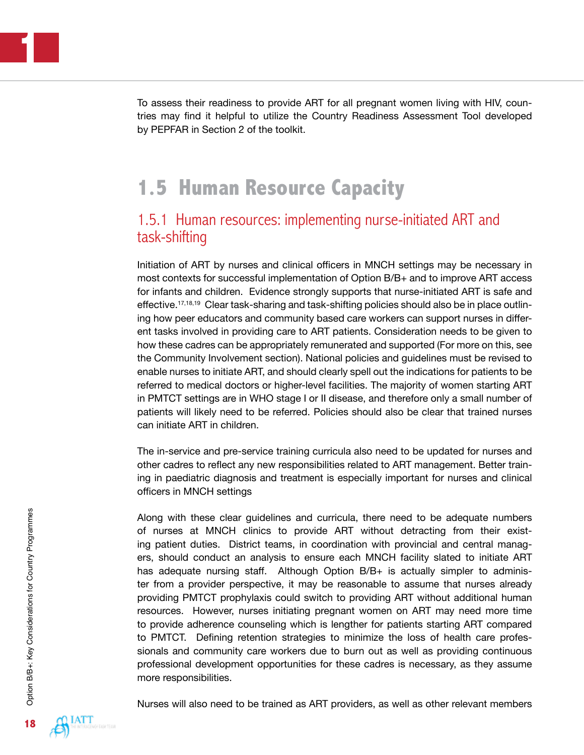To assess their readiness to provide ART for all pregnant women living with HIV, countries may find it helpful to utilize the Country Readiness Assessment Tool developed by PEPFAR in Section 2 of the toolkit.

# **1.5 Human Resource Capacity**

### 1.5.1 Human resources: implementing nurse-initiated ART and task-shifting

Initiation of ART by nurses and clinical officers in MNCH settings may be necessary in most contexts for successful implementation of Option B/B+ and to improve ART access for infants and children. Evidence strongly supports that nurse-initiated ART is safe and effective.17,18,19 Clear task-sharing and task-shifting policies should also be in place outlining how peer educators and community based care workers can support nurses in different tasks involved in providing care to ART patients. Consideration needs to be given to how these cadres can be appropriately remunerated and supported (For more on this, see the Community Involvement section). National policies and guidelines must be revised to enable nurses to initiate ART, and should clearly spell out the indications for patients to be referred to medical doctors or higher-level facilities. The majority of women starting ART in PMTCT settings are in WHO stage I or II disease, and therefore only a small number of patients will likely need to be referred. Policies should also be clear that trained nurses can initiate ART in children.

The in-service and pre-service training curricula also need to be updated for nurses and other cadres to reflect any new responsibilities related to ART management. Better training in paediatric diagnosis and treatment is especially important for nurses and clinical officers in MNCH settings

Along with these clear guidelines and curricula, there need to be adequate numbers of nurses at MNCH clinics to provide ART without detracting from their existing patient duties. District teams, in coordination with provincial and central managers, should conduct an analysis to ensure each MNCH facility slated to initiate ART has adequate nursing staff. Although Option B/B+ is actually simpler to administer from a provider perspective, it may be reasonable to assume that nurses already providing PMTCT prophylaxis could switch to providing ART without additional human resources. However, nurses initiating pregnant women on ART may need more time to provide adherence counseling which is lengther for patients starting ART compared to PMTCT. Defining retention strategies to minimize the loss of health care professionals and community care workers due to burn out as well as providing continuous professional development opportunities for these cadres is necessary, as they assume more responsibilities.

Nurses will also need to be trained as ART providers, as well as other relevant members

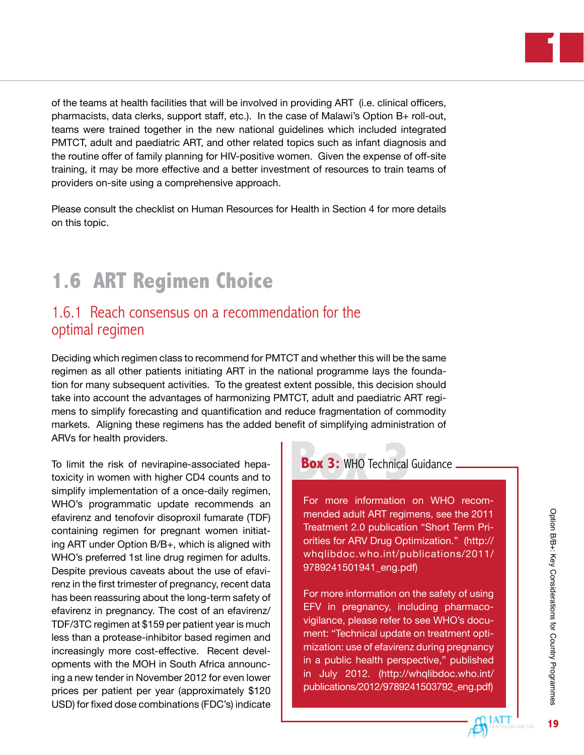of the teams at health facilities that will be involved in providing ART (i.e. clinical officers, pharmacists, data clerks, support staff, etc.). In the case of Malawi's Option B+ roll-out, teams were trained together in the new national guidelines which included integrated PMTCT, adult and paediatric ART, and other related topics such as infant diagnosis and the routine offer of family planning for HIV-positive women. Given the expense of off-site training, it may be more effective and a better investment of resources to train teams of providers on-site using a comprehensive approach.

Please consult the checklist on Human Resources for Health in Section 4 for more details on this topic.

# **1.6 ART Regimen Choice**

### 1.6.1 Reach consensus on a recommendation for the optimal regimen

Deciding which regimen class to recommend for PMTCT and whether this will be the same regimen as all other patients initiating ART in the national programme lays the foundation for many subsequent activities. To the greatest extent possible, this decision should take into account the advantages of harmonizing PMTCT, adult and paediatric ART regimens to simplify forecasting and quantification and reduce fragmentation of commodity markets. Aligning these regimens has the added benefit of simplifying administration of ARVs for health providers.

To limit the risk of nevirapine-associated hepatoxicity in women with higher CD4 counts and to simplify implementation of a once-daily regimen, WHO's programmatic update recommends an efavirenz and tenofovir disoproxil fumarate (TDF) containing regimen for pregnant women initiating ART under Option B/B+, which is aligned with WHO's preferred 1st line drug regimen for adults. Despite previous caveats about the use of efavirenz in the first trimester of pregnancy, recent data has been reassuring about the long-term safety of efavirenz in pregnancy. The cost of an efavirenz/ TDF/3TC regimen at \$159 per patient year is much less than a protease-inhibitor based regimen and increasingly more cost-effective. Recent developments with the MOH in South Africa announcing a new tender in November 2012 for even lower prices per patient per year (approximately \$120 USD) for fixed dose combinations (FDC's) indicate

### **Box 3: WHO Technical Guidance.**

For more information on WHO recommended adult ART regimens, see the 2011 Treatment 2.0 publication "Short Term Priorities for ARV Drug Optimization." [\(http://](http://whqlibdoc.who.int/publications/2011/ 9789241501941_eng.pdf) [whqlibdoc.who.int/publications/2011/](http://whqlibdoc.who.int/publications/2011/ 9789241501941_eng.pdf) [9789241501941\\_eng.pdf](http://whqlibdoc.who.int/publications/2011/ 9789241501941_eng.pdf))

For more information on the safety of using EFV in pregnancy, including pharmacovigilance, please refer to see WHO's document: "Technical update on treatment optimization: use of efavirenz during pregnancy in a public health perspective," published in July 2012. ([http://whqlibdoc.who.int/](http://whqlibdoc.who.int/ publications/2012/9789241503792_eng.pdf) [publications/2012/9789241503792\\_eng.pdf](http://whqlibdoc.who.int/ publications/2012/9789241503792_eng.pdf))

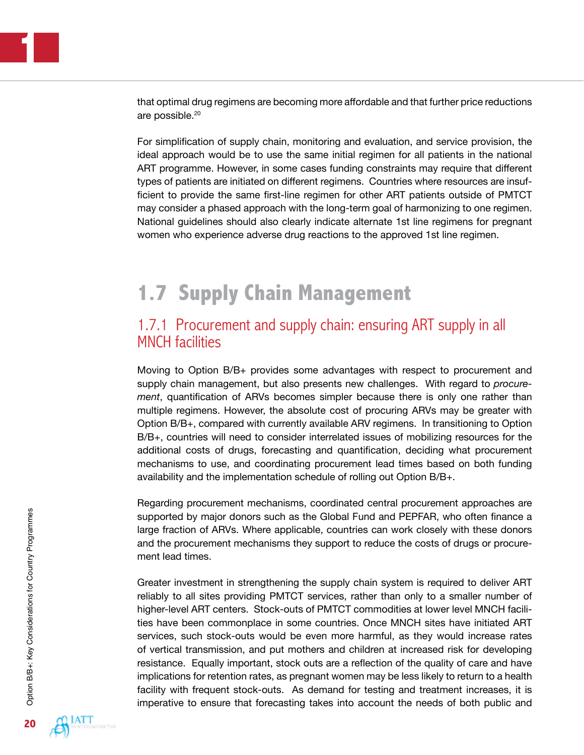that optimal drug regimens are becoming more affordable and that further price reductions are possible.<sup>20</sup>

For simplification of supply chain, monitoring and evaluation, and service provision, the ideal approach would be to use the same initial regimen for all patients in the national ART programme. However, in some cases funding constraints may require that different types of patients are initiated on different regimens. Countries where resources are insufficient to provide the same first-line regimen for other ART patients outside of PMTCT may consider a phased approach with the long-term goal of harmonizing to one regimen. National guidelines should also clearly indicate alternate 1st line regimens for pregnant women who experience adverse drug reactions to the approved 1st line regimen.

# **1.7 Supply Chain Management**

### 1.7.1 Procurement and supply chain: ensuring ART supply in all MNCH facilities

Moving to Option B/B+ provides some advantages with respect to procurement and supply chain management, but also presents new challenges. With regard to *procurement*, quantification of ARVs becomes simpler because there is only one rather than multiple regimens. However, the absolute cost of procuring ARVs may be greater with Option B/B+, compared with currently available ARV regimens. In transitioning to Option B/B+, countries will need to consider interrelated issues of mobilizing resources for the additional costs of drugs, forecasting and quantification, deciding what procurement mechanisms to use, and coordinating procurement lead times based on both funding availability and the implementation schedule of rolling out Option B/B+.

Regarding procurement mechanisms, coordinated central procurement approaches are supported by major donors such as the Global Fund and PEPFAR, who often finance a large fraction of ARVs. Where applicable, countries can work closely with these donors and the procurement mechanisms they support to reduce the costs of drugs or procurement lead times.

Greater investment in strengthening the supply chain system is required to deliver ART reliably to all sites providing PMTCT services, rather than only to a smaller number of higher-level ART centers. Stock-outs of PMTCT commodities at lower level MNCH facilities have been commonplace in some countries. Once MNCH sites have initiated ART services, such stock-outs would be even more harmful, as they would increase rates of vertical transmission, and put mothers and children at increased risk for developing resistance. Equally important, stock outs are a reflection of the quality of care and have implications for retention rates, as pregnant women may be less likely to return to a health facility with frequent stock-outs. As demand for testing and treatment increases, it is imperative to ensure that forecasting takes into account the needs of both public and

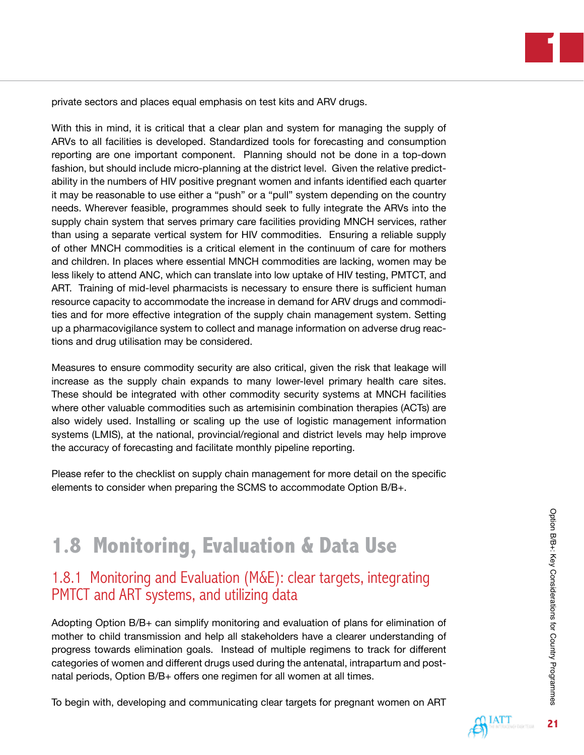private sectors and places equal emphasis on test kits and ARV drugs.

With this in mind, it is critical that a clear plan and system for managing the supply of ARVs to all facilities is developed. Standardized tools for forecasting and consumption reporting are one important component. Planning should not be done in a top-down fashion, but should include micro-planning at the district level. Given the relative predictability in the numbers of HIV positive pregnant women and infants identified each quarter it may be reasonable to use either a "push" or a "pull" system depending on the country needs. Wherever feasible, programmes should seek to fully integrate the ARVs into the supply chain system that serves primary care facilities providing MNCH services, rather than using a separate vertical system for HIV commodities. Ensuring a reliable supply of other MNCH commodities is a critical element in the continuum of care for mothers and children. In places where essential MNCH commodities are lacking, women may be less likely to attend ANC, which can translate into low uptake of HIV testing, PMTCT, and ART. Training of mid-level pharmacists is necessary to ensure there is sufficient human resource capacity to accommodate the increase in demand for ARV drugs and commodities and for more effective integration of the supply chain management system. Setting up a pharmacovigilance system to collect and manage information on adverse drug reactions and drug utilisation may be considered.

Measures to ensure commodity security are also critical, given the risk that leakage will increase as the supply chain expands to many lower-level primary health care sites. These should be integrated with other commodity security systems at MNCH facilities where other valuable commodities such as artemisinin combination therapies (ACTs) are also widely used. Installing or scaling up the use of logistic management information systems (LMIS), at the national, provincial/regional and district levels may help improve the accuracy of forecasting and facilitate monthly pipeline reporting.

Please refer to the checklist on supply chain management for more detail on the specific elements to consider when preparing the SCMS to accommodate Option B/B+.

# **1.8 Monitoring, Evaluation & Data Use**

### 1.8.1 Monitoring and Evaluation (M&E): clear targets, integrating PMTCT and ART systems, and utilizing data

Adopting Option B/B+ can simplify monitoring and evaluation of plans for elimination of mother to child transmission and help all stakeholders have a clearer understanding of progress towards elimination goals. Instead of multiple regimens to track for different categories of women and different drugs used during the antenatal, intrapartum and postnatal periods, Option B/B+ offers one regimen for all women at all times.

To begin with, developing and communicating clear targets for pregnant women on ART

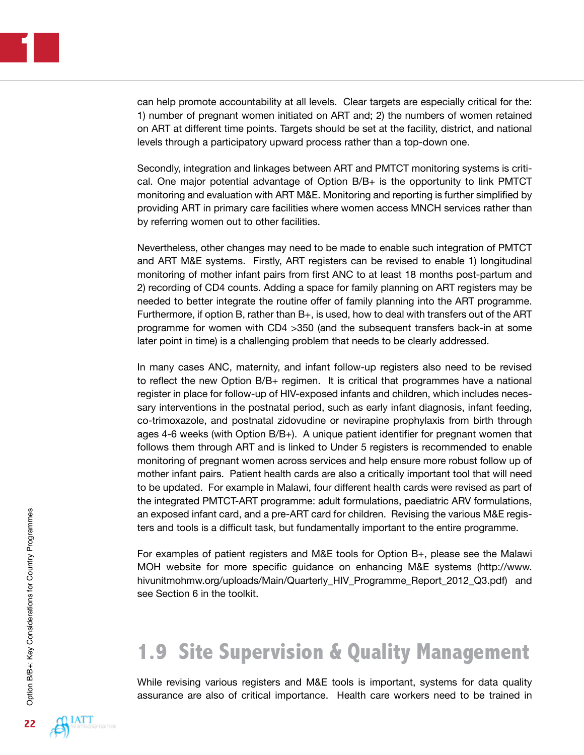can help promote accountability at all levels. Clear targets are especially critical for the: 1) number of pregnant women initiated on ART and; 2) the numbers of women retained on ART at different time points. Targets should be set at the facility, district, and national levels through a participatory upward process rather than a top-down one.

Secondly, integration and linkages between ART and PMTCT monitoring systems is critical. One major potential advantage of Option B/B+ is the opportunity to link PMTCT monitoring and evaluation with ART M&E. Monitoring and reporting is further simplified by providing ART in primary care facilities where women access MNCH services rather than by referring women out to other facilities.

Nevertheless, other changes may need to be made to enable such integration of PMTCT and ART M&E systems. Firstly, ART registers can be revised to enable 1) longitudinal monitoring of mother infant pairs from first ANC to at least 18 months post-partum and 2) recording of CD4 counts. Adding a space for family planning on ART registers may be needed to better integrate the routine offer of family planning into the ART programme. Furthermore, if option B, rather than B+, is used, how to deal with transfers out of the ART programme for women with CD4 >350 (and the subsequent transfers back-in at some later point in time) is a challenging problem that needs to be clearly addressed.

In many cases ANC, maternity, and infant follow-up registers also need to be revised to reflect the new Option B/B+ regimen. It is critical that programmes have a national register in place for follow-up of HIV-exposed infants and children, which includes necessary interventions in the postnatal period, such as early infant diagnosis, infant feeding, co-trimoxazole, and postnatal zidovudine or nevirapine prophylaxis from birth through ages 4-6 weeks (with Option B/B+). A unique patient identifier for pregnant women that follows them through ART and is linked to Under 5 registers is recommended to enable monitoring of pregnant women across services and help ensure more robust follow up of mother infant pairs. Patient health cards are also a critically important tool that will need to be updated. For example in Malawi, four different health cards were revised as part of the integrated PMTCT-ART programme: adult formulations, paediatric ARV formulations, an exposed infant card, and a pre-ART card for children. Revising the various M&E registers and tools is a difficult task, but fundamentally important to the entire programme.

For examples of patient registers and M&E tools for Option B+, please see the Malawi MOH website for more specific guidance on enhancing M&E systems [\(http://www.](http://www.hivunitmohmw.org/uploads/Main/Quarterly_HIV_Programme_Report_2012_Q3.pdf) [hivunitmohmw.org/uploads/Main/Quarterly\\_HIV\\_Programme\\_Report\\_2012\\_Q3.pdf](http://www.hivunitmohmw.org/uploads/Main/Quarterly_HIV_Programme_Report_2012_Q3.pdf)) and see Section 6 in the toolkit.

# **1.9 Site Supervision & Quality Management**

While revising various registers and M&E tools is important, systems for data quality assurance are also of critical importance. Health care workers need to be trained in

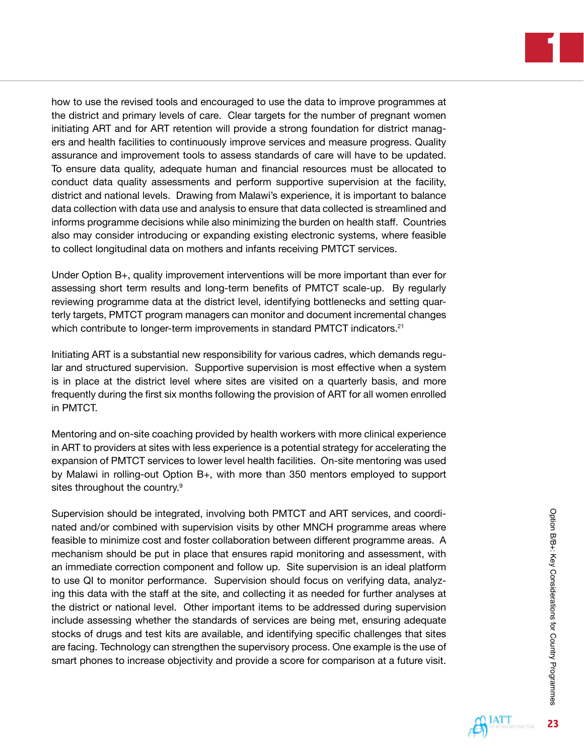how to use the revised tools and encouraged to use the data to improve programmes at the district and primary levels of care. Clear targets for the number of pregnant women initiating ART and for ART retention will provide a strong foundation for district managers and health facilities to continuously improve services and measure progress. Quality assurance and improvement tools to assess standards of care will have to be updated. To ensure data quality, adequate human and financial resources must be allocated to conduct data quality assessments and perform supportive supervision at the facility, district and national levels. Drawing from Malawi's experience, it is important to balance data collection with data use and analysis to ensure that data collected is streamlined and informs programme decisions while also minimizing the burden on health staff. Countries also may consider introducing or expanding existing electronic systems, where feasible to collect longitudinal data on mothers and infants receiving PMTCT services.

Under Option B+, quality improvement interventions will be more important than ever for assessing short term results and long-term benefits of PMTCT scale-up. By regularly reviewing programme data at the district level, identifying bottlenecks and setting quarterly targets, PMTCT program managers can monitor and document incremental changes which contribute to longer-term improvements in standard PMTCT indicators.<sup>21</sup>

Initiating ART is a substantial new responsibility for various cadres, which demands regular and structured supervision. Supportive supervision is most effective when a system is in place at the district level where sites are visited on a quarterly basis, and more frequently during the first six months following the provision of ART for all women enrolled in PMTCT.

Mentoring and on-site coaching provided by health workers with more clinical experience in ART to providers at sites with less experience is a potential strategy for accelerating the expansion of PMTCT services to lower level health facilities. On-site mentoring was used by Malawi in rolling-out Option B+, with more than 350 mentors employed to support sites throughout the country.<sup>9</sup>

Supervision should be integrated, involving both PMTCT and ART services, and coordinated and/or combined with supervision visits by other MNCH programme areas where feasible to minimize cost and foster collaboration between different programme areas. A mechanism should be put in place that ensures rapid monitoring and assessment, with an immediate correction component and follow up. Site supervision is an ideal platform to use QI to monitor performance. Supervision should focus on verifying data, analyzing this data with the staff at the site, and collecting it as needed for further analyses at the district or national level. Other important items to be addressed during supervision include assessing whether the standards of services are being met, ensuring adequate stocks of drugs and test kits are available, and identifying specific challenges that sites are facing. Technology can strengthen the supervisory process. One example is the use of smart phones to increase objectivity and provide a score for comparison at a future visit.

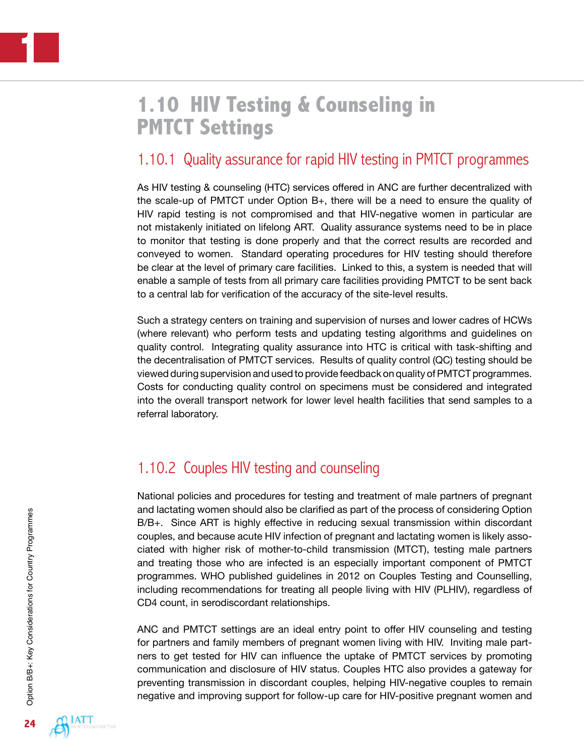# **1.10 HIV Testing & Counseling in PMTCT Settings**

# 1.10.1 Quality assurance for rapid HIV testing in PMTCT programmes

As HIV testing & counseling (HTC) services offered in ANC are further decentralized with the scale-up of PMTCT under Option B+, there will be a need to ensure the quality of HIV rapid testing is not compromised and that HIV-negative women in particular are not mistakenly initiated on lifelong ART. Quality assurance systems need to be in place to monitor that testing is done properly and that the correct results are recorded and conveyed to women. Standard operating procedures for HIV testing should therefore be clear at the level of primary care facilities. Linked to this, a system is needed that will enable a sample of tests from all primary care facilities providing PMTCT to be sent back to a central lab for verification of the accuracy of the site-level results.

Such a strategy centers on training and supervision of nurses and lower cadres of HCWs (where relevant) who perform tests and updating testing algorithms and guidelines on quality control. Integrating quality assurance into HTC is critical with task-shifting and the decentralisation of PMTCT services. Results of quality control (QC) testing should be viewed during supervision and used to provide feedback on quality of PMTCT programmes. Costs for conducting quality control on specimens must be considered and integrated into the overall transport network for lower level health facilities that send samples to a referral laboratory.

# 1.10.2 Couples HIV testing and counseling

National policies and procedures for testing and treatment of male partners of pregnant and lactating women should also be clarified as part of the process of considering Option B/B+. Since ART is highly effective in reducing sexual transmission within discordant couples, and because acute HIV infection of pregnant and lactating women is likely associated with higher risk of mother-to-child transmission (MTCT), testing male partners and treating those who are infected is an especially important component of PMTCT programmes. WHO published guidelines in 2012 on Couples Testing and Counselling, including recommendations for treating all people living with HIV (PLHIV), regardless of CD4 count, in serodiscordant relationships.

ANC and PMTCT settings are an ideal entry point to offer HIV counseling and testing for partners and family members of pregnant women living with HIV. Inviting male partners to get tested for HIV can influence the uptake of PMTCT services by promoting communication and disclosure of HIV status. Couples HTC also provides a gateway for preventing transmission in discordant couples, helping HIV-negative couples to remain negative and improving support for follow-up care for HIV-positive pregnant women and

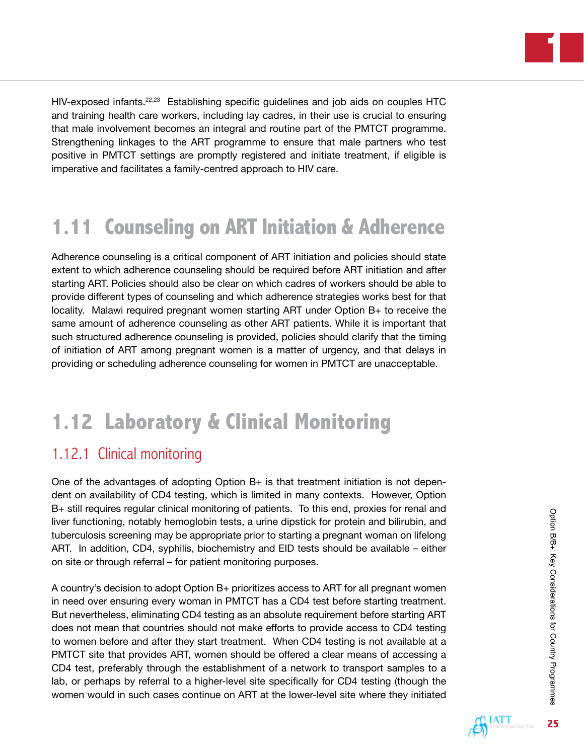

HIV-exposed infants.<sup>22,23</sup> Establishing specific guidelines and job aids on couples HTC and training health care workers, including lay cadres, in their use is crucial to ensuring that male involvement becomes an integral and routine part of the PMTCT programme. Strengthening linkages to the ART programme to ensure that male partners who test positive in PMTCT settings are promptly registered and initiate treatment, if eligible is imperative and facilitates a family-centred approach to HIV care.

# **1.11 Counseling on ART Initiation & Adherence**

Adherence counseling is a critical component of ART initiation and policies should state extent to which adherence counseling should be required before ART initiation and after starting ART. Policies should also be clear on which cadres of workers should be able to provide different types of counseling and which adherence strategies works best for that locality. Malawi required pregnant women starting ART under Option B+ to receive the same amount of adherence counseling as other ART patients. While it is important that such structured adherence counseling is provided, policies should clarify that the timing of initiation of ART among pregnant women is a matter of urgency, and that delays in providing or scheduling adherence counseling for women in PMTCT are unacceptable.

# **1.12 Laboratory & Clinical Monitoring**

### 1.12.1 Clinical monitoring

One of the advantages of adopting Option B+ is that treatment initiation is not dependent on availability of CD4 testing, which is limited in many contexts. However, Option B+ still requires regular clinical monitoring of patients. To this end, proxies for renal and liver functioning, notably hemoglobin tests, a urine dipstick for protein and bilirubin, and tuberculosis screening may be appropriate prior to starting a pregnant woman on lifelong ART. In addition, CD4, syphilis, biochemistry and EID tests should be available – either on site or through referral – for patient monitoring purposes.

A country's decision to adopt Option B+ prioritizes access to ART for all pregnant women in need over ensuring every woman in PMTCT has a CD4 test before starting treatment. But nevertheless, eliminating CD4 testing as an absolute requirement before starting ART does not mean that countries should not make efforts to provide access to CD4 testing to women before and after they start treatment. When CD4 testing is not available at a PMTCT site that provides ART, women should be offered a clear means of accessing a CD4 test, preferably through the establishment of a network to transport samples to a lab, or perhaps by referral to a higher-level site specifically for CD4 testing (though the women would in such cases continue on ART at the lower-level site where they initiated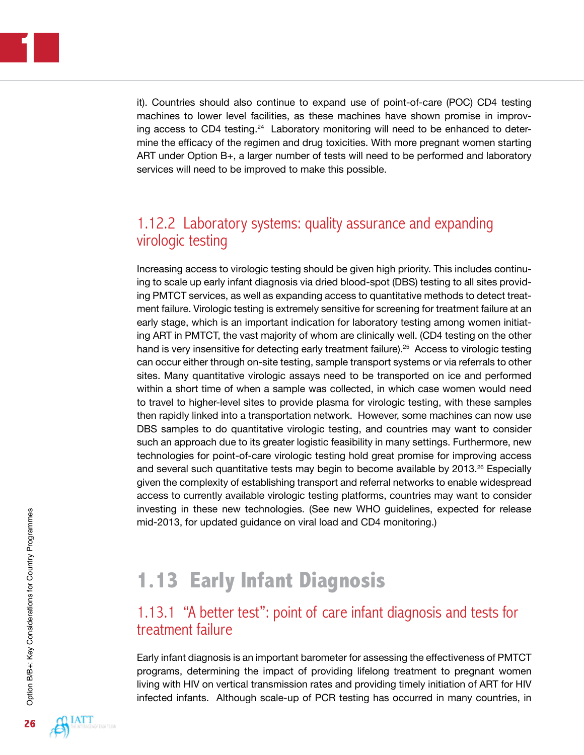it). Countries should also continue to expand use of point-of-care (POC) CD4 testing machines to lower level facilities, as these machines have shown promise in improving access to CD4 testing.<sup>24</sup> Laboratory monitoring will need to be enhanced to determine the efficacy of the regimen and drug toxicities. With more pregnant women starting ART under Option B+, a larger number of tests will need to be performed and laboratory services will need to be improved to make this possible.

## 1.12.2 Laboratory systems: quality assurance and expanding virologic testing

Increasing access to virologic testing should be given high priority. This includes continuing to scale up early infant diagnosis via dried blood-spot (DBS) testing to all sites providing PMTCT services, as well as expanding access to quantitative methods to detect treatment failure. Virologic testing is extremely sensitive for screening for treatment failure at an early stage, which is an important indication for laboratory testing among women initiating ART in PMTCT, the vast majority of whom are clinically well. (CD4 testing on the other hand is very insensitive for detecting early treatment failure).<sup>25</sup> Access to virologic testing can occur either through on-site testing, sample transport systems or via referrals to other sites. Many quantitative virologic assays need to be transported on ice and performed within a short time of when a sample was collected, in which case women would need to travel to higher-level sites to provide plasma for virologic testing, with these samples then rapidly linked into a transportation network. However, some machines can now use DBS samples to do quantitative virologic testing, and countries may want to consider such an approach due to its greater logistic feasibility in many settings. Furthermore, new technologies for point-of-care virologic testing hold great promise for improving access and several such quantitative tests may begin to become available by 2013.<sup>26</sup> Especially given the complexity of establishing transport and referral networks to enable widespread access to currently available virologic testing platforms, countries may want to consider investing in these new technologies. (See new WHO guidelines, expected for release mid-2013, for updated guidance on viral load and CD4 monitoring.)

# **1.13 Early Infant Diagnosis**

### 1.13.1 "A better test": point of care infant diagnosis and tests for treatment failure

Early infant diagnosis is an important barometer for assessing the effectiveness of PMTCT programs, determining the impact of providing lifelong treatment to pregnant women living with HIV on vertical transmission rates and providing timely initiation of ART for HIV infected infants. Although scale-up of PCR testing has occurred in many countries, in

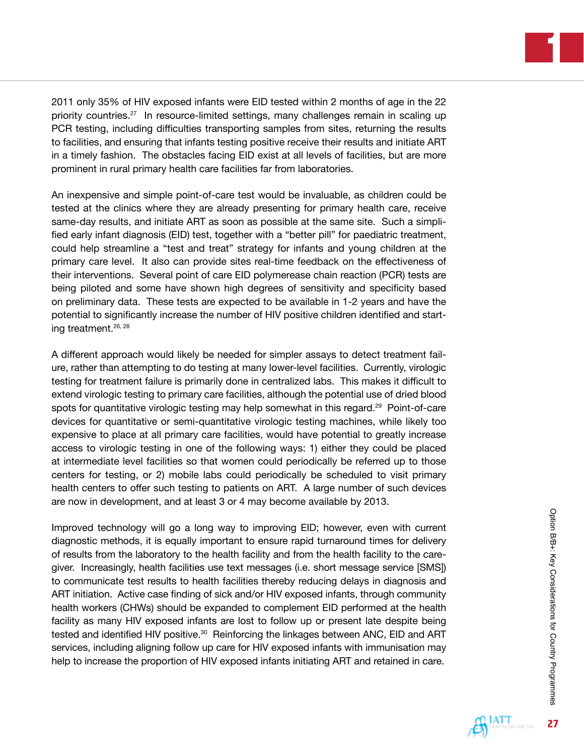

2011 only 35% of HIV exposed infants were EID tested within 2 months of age in the 22 priority countries.<sup>27</sup> In resource-limited settings, many challenges remain in scaling up PCR testing, including difficulties transporting samples from sites, returning the results to facilities, and ensuring that infants testing positive receive their results and initiate ART in a timely fashion. The obstacles facing EID exist at all levels of facilities, but are more prominent in rural primary health care facilities far from laboratories.

An inexpensive and simple point-of-care test would be invaluable, as children could be tested at the clinics where they are already presenting for primary health care, receive same-day results, and initiate ART as soon as possible at the same site. Such a simplified early infant diagnosis (EID) test, together with a "better pill" for paediatric treatment, could help streamline a "test and treat" strategy for infants and young children at the primary care level. It also can provide sites real-time feedback on the effectiveness of their interventions. Several point of care EID polymerease chain reaction (PCR) tests are being piloted and some have shown high degrees of sensitivity and specificity based on preliminary data. These tests are expected to be available in 1-2 years and have the potential to significantly increase the number of HIV positive children identified and starting treatment.26, 28

A different approach would likely be needed for simpler assays to detect treatment failure, rather than attempting to do testing at many lower-level facilities. Currently, virologic testing for treatment failure is primarily done in centralized labs. This makes it difficult to extend virologic testing to primary care facilities, although the potential use of dried blood spots for quantitative virologic testing may help somewhat in this regard.<sup>29</sup> Point-of-care devices for quantitative or semi-quantitative virologic testing machines, while likely too expensive to place at all primary care facilities, would have potential to greatly increase access to virologic testing in one of the following ways: 1) either they could be placed at intermediate level facilities so that women could periodically be referred up to those centers for testing, or 2) mobile labs could periodically be scheduled to visit primary health centers to offer such testing to patients on ART. A large number of such devices are now in development, and at least 3 or 4 may become available by 2013.

Improved technology will go a long way to improving EID; however, even with current diagnostic methods, it is equally important to ensure rapid turnaround times for delivery of results from the laboratory to the health facility and from the health facility to the caregiver. Increasingly, health facilities use text messages (i.e. short message service [SMS]) to communicate test results to health facilities thereby reducing delays in diagnosis and ART initiation. Active case finding of sick and/or HIV exposed infants, through community health workers (CHWs) should be expanded to complement EID performed at the health facility as many HIV exposed infants are lost to follow up or present late despite being tested and identified HIV positive.<sup>30</sup> Reinforcing the linkages between ANC, EID and ART services, including aligning follow up care for HIV exposed infants with immunisation may help to increase the proportion of HIV exposed infants initiating ART and retained in care.

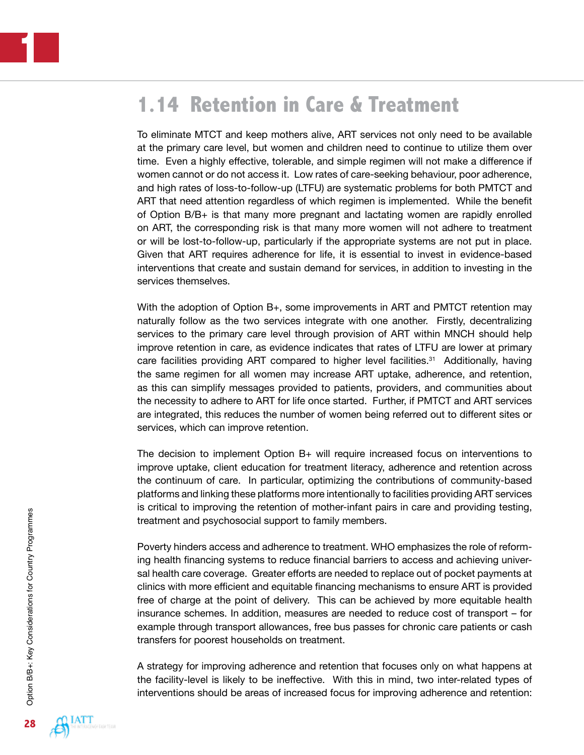# **1.14 Retention in Care & Treatment**

To eliminate MTCT and keep mothers alive, ART services not only need to be available at the primary care level, but women and children need to continue to utilize them over time. Even a highly effective, tolerable, and simple regimen will not make a difference if women cannot or do not access it. Low rates of care-seeking behaviour, poor adherence, and high rates of loss-to-follow-up (LTFU) are systematic problems for both PMTCT and ART that need attention regardless of which regimen is implemented. While the benefit of Option B/B+ is that many more pregnant and lactating women are rapidly enrolled on ART, the corresponding risk is that many more women will not adhere to treatment or will be lost-to-follow-up, particularly if the appropriate systems are not put in place. Given that ART requires adherence for life, it is essential to invest in evidence-based interventions that create and sustain demand for services, in addition to investing in the services themselves.

With the adoption of Option B+, some improvements in ART and PMTCT retention may naturally follow as the two services integrate with one another. Firstly, decentralizing services to the primary care level through provision of ART within MNCH should help improve retention in care, as evidence indicates that rates of LTFU are lower at primary care facilities providing ART compared to higher level facilities.<sup>31</sup> Additionally, having the same regimen for all women may increase ART uptake, adherence, and retention, as this can simplify messages provided to patients, providers, and communities about the necessity to adhere to ART for life once started. Further, if PMTCT and ART services are integrated, this reduces the number of women being referred out to different sites or services, which can improve retention.

The decision to implement Option B+ will require increased focus on interventions to improve uptake, client education for treatment literacy, adherence and retention across the continuum of care. In particular, optimizing the contributions of community-based platforms and linking these platforms more intentionally to facilities providing ART services is critical to improving the retention of mother-infant pairs in care and providing testing, treatment and psychosocial support to family members.

Poverty hinders access and adherence to treatment. WHO emphasizes the role of reforming health financing systems to reduce financial barriers to access and achieving universal health care coverage. Greater efforts are needed to replace out of pocket payments at clinics with more efficient and equitable financing mechanisms to ensure ART is provided free of charge at the point of delivery. This can be achieved by more equitable health insurance schemes. In addition, measures are needed to reduce cost of transport – for example through transport allowances, free bus passes for chronic care patients or cash transfers for poorest households on treatment.

A strategy for improving adherence and retention that focuses only on what happens at the facility-level is likely to be ineffective. With this in mind, two inter-related types of interventions should be areas of increased focus for improving adherence and retention:

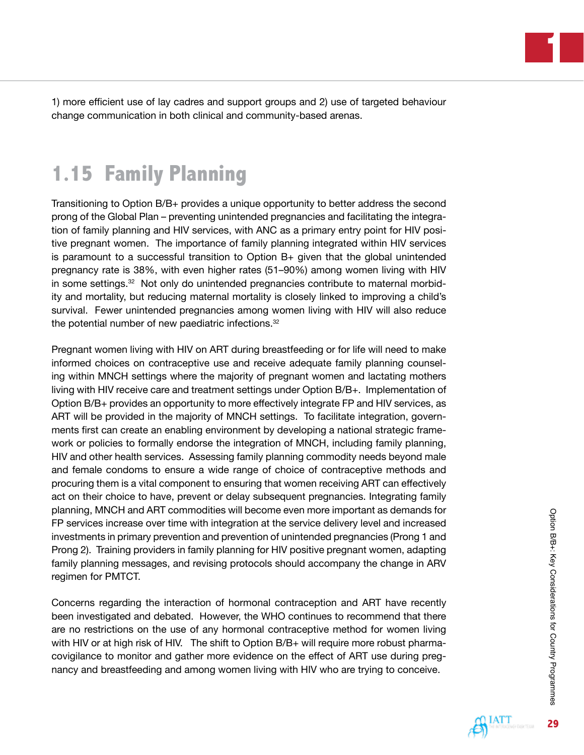**1**

1) more efficient use of lay cadres and support groups and 2) use of targeted behaviour change communication in both clinical and community-based arenas.

# **1.15 Family Planning**

Transitioning to Option B/B+ provides a unique opportunity to better address the second prong of the Global Plan – preventing unintended pregnancies and facilitating the integration of family planning and HIV services, with ANC as a primary entry point for HIV positive pregnant women. The importance of family planning integrated within HIV services is paramount to a successful transition to Option B+ given that the global unintended pregnancy rate is 38%, with even higher rates (51–90%) among women living with HIV in some settings.32 Not only do unintended pregnancies contribute to maternal morbidity and mortality, but reducing maternal mortality is closely linked to improving a child's survival. Fewer unintended pregnancies among women living with HIV will also reduce the potential number of new paediatric infections.32

Pregnant women living with HIV on ART during breastfeeding or for life will need to make informed choices on contraceptive use and receive adequate family planning counseling within MNCH settings where the majority of pregnant women and lactating mothers living with HIV receive care and treatment settings under Option B/B+. Implementation of Option B/B+ provides an opportunity to more effectively integrate FP and HIV services, as ART will be provided in the majority of MNCH settings. To facilitate integration, governments first can create an enabling environment by developing a national strategic framework or policies to formally endorse the integration of MNCH, including family planning, HIV and other health services. Assessing family planning commodity needs beyond male and female condoms to ensure a wide range of choice of contraceptive methods and procuring them is a vital component to ensuring that women receiving ART can effectively act on their choice to have, prevent or delay subsequent pregnancies. Integrating family planning, MNCH and ART commodities will become even more important as demands for FP services increase over time with integration at the service delivery level and increased investments in primary prevention and prevention of unintended pregnancies (Prong 1 and Prong 2). Training providers in family planning for HIV positive pregnant women, adapting family planning messages, and revising protocols should accompany the change in ARV regimen for PMTCT.

Concerns regarding the interaction of hormonal contraception and ART have recently been investigated and debated. However, the WHO continues to recommend that there are no restrictions on the use of any hormonal contraceptive method for women living with HIV or at high risk of HIV. The shift to Option B/B+ will require more robust pharmacovigilance to monitor and gather more evidence on the effect of ART use during pregnancy and breastfeeding and among women living with HIV who are trying to conceive.

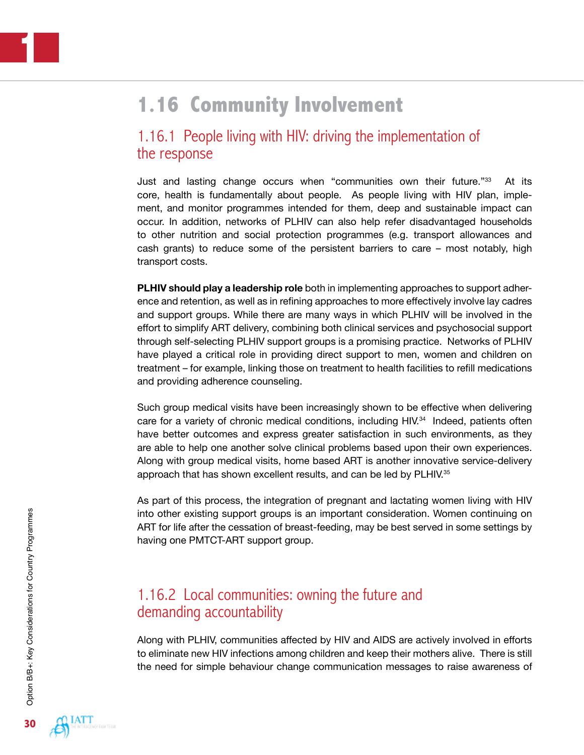# **1.16 Community Involvement**

### 1.16.1 People living with HIV: driving the implementation of the response

Just and lasting change occurs when "communities own their future."33 At its core, health is fundamentally about people. As people living with HIV plan, implement, and monitor programmes intended for them, deep and sustainable impact can occur. In addition, networks of PLHIV can also help refer disadvantaged households to other nutrition and social protection programmes (e.g. transport allowances and cash grants) to reduce some of the persistent barriers to care – most notably, high transport costs.

**PLHIV should play a leadership role** both in implementing approaches to support adherence and retention, as well as in refining approaches to more effectively involve lay cadres and support groups. While there are many ways in which PLHIV will be involved in the effort to simplify ART delivery, combining both clinical services and psychosocial support through self-selecting PLHIV support groups is a promising practice. Networks of PLHIV have played a critical role in providing direct support to men, women and children on treatment – for example, linking those on treatment to health facilities to refill medications and providing adherence counseling.

Such group medical visits have been increasingly shown to be effective when delivering care for a variety of chronic medical conditions, including HIV.34 Indeed, patients often have better outcomes and express greater satisfaction in such environments, as they are able to help one another solve clinical problems based upon their own experiences. Along with group medical visits, home based ART is another innovative service-delivery approach that has shown excellent results, and can be led by PLHIV.<sup>35</sup>

As part of this process, the integration of pregnant and lactating women living with HIV into other existing support groups is an important consideration. Women continuing on ART for life after the cessation of breast-feeding, may be best served in some settings by having one PMTCT-ART support group.

### 1.16.2 Local communities: owning the future and demanding accountability

Along with PLHIV, communities affected by HIV and AIDS are actively involved in efforts to eliminate new HIV infections among children and keep their mothers alive. There is still the need for simple behaviour change communication messages to raise awareness of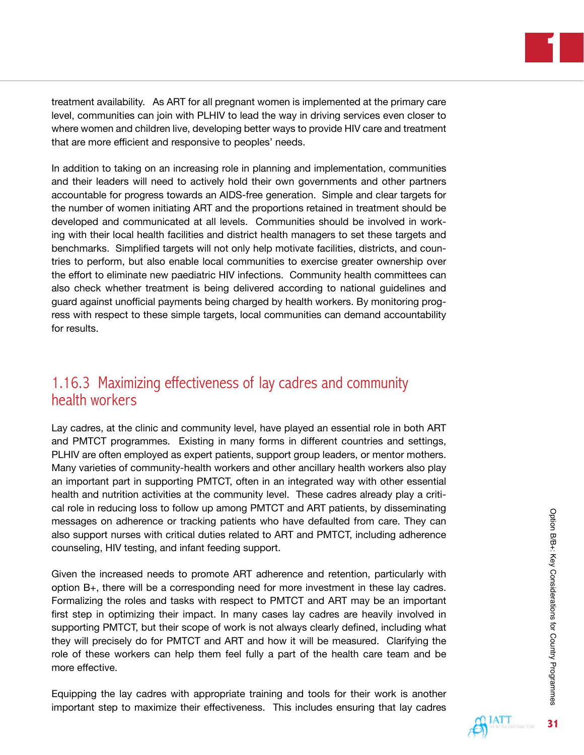**1**

treatment availability. As ART for all pregnant women is implemented at the primary care level, communities can join with PLHIV to lead the way in driving services even closer to where women and children live, developing better ways to provide HIV care and treatment that are more efficient and responsive to peoples' needs.

In addition to taking on an increasing role in planning and implementation, communities and their leaders will need to actively hold their own governments and other partners accountable for progress towards an AIDS-free generation. Simple and clear targets for the number of women initiating ART and the proportions retained in treatment should be developed and communicated at all levels. Communities should be involved in working with their local health facilities and district health managers to set these targets and benchmarks. Simplified targets will not only help motivate facilities, districts, and countries to perform, but also enable local communities to exercise greater ownership over the effort to eliminate new paediatric HIV infections. Community health committees can also check whether treatment is being delivered according to national guidelines and guard against unofficial payments being charged by health workers. By monitoring progress with respect to these simple targets, local communities can demand accountability for results.

# 1.16.3 Maximizing effectiveness of lay cadres and community health workers

Lay cadres, at the clinic and community level, have played an essential role in both ART and PMTCT programmes. Existing in many forms in different countries and settings, PLHIV are often employed as expert patients, support group leaders, or mentor mothers. Many varieties of community-health workers and other ancillary health workers also play an important part in supporting PMTCT, often in an integrated way with other essential health and nutrition activities at the community level. These cadres already play a critical role in reducing loss to follow up among PMTCT and ART patients, by disseminating messages on adherence or tracking patients who have defaulted from care. They can also support nurses with critical duties related to ART and PMTCT, including adherence counseling, HIV testing, and infant feeding support.

Given the increased needs to promote ART adherence and retention, particularly with option B+, there will be a corresponding need for more investment in these lay cadres. Formalizing the roles and tasks with respect to PMTCT and ART may be an important first step in optimizing their impact. In many cases lay cadres are heavily involved in supporting PMTCT, but their scope of work is not always clearly defined, including what they will precisely do for PMTCT and ART and how it will be measured. Clarifying the role of these workers can help them feel fully a part of the health care team and be more effective.

Equipping the lay cadres with appropriate training and tools for their work is another important step to maximize their effectiveness. This includes ensuring that lay cadres

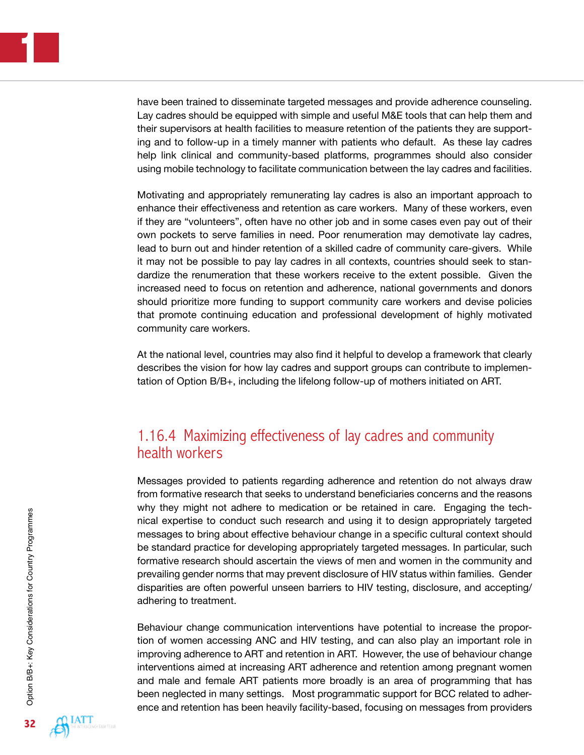have been trained to disseminate targeted messages and provide adherence counseling. Lay cadres should be equipped with simple and useful M&E tools that can help them and their supervisors at health facilities to measure retention of the patients they are supporting and to follow-up in a timely manner with patients who default. As these lay cadres help link clinical and community-based platforms, programmes should also consider using mobile technology to facilitate communication between the lay cadres and facilities.

Motivating and appropriately remunerating lay cadres is also an important approach to enhance their effectiveness and retention as care workers. Many of these workers, even if they are "volunteers", often have no other job and in some cases even pay out of their own pockets to serve families in need. Poor renumeration may demotivate lay cadres, lead to burn out and hinder retention of a skilled cadre of community care-givers. While it may not be possible to pay lay cadres in all contexts, countries should seek to standardize the renumeration that these workers receive to the extent possible. Given the increased need to focus on retention and adherence, national governments and donors should prioritize more funding to support community care workers and devise policies that promote continuing education and professional development of highly motivated community care workers.

At the national level, countries may also find it helpful to develop a framework that clearly describes the vision for how lay cadres and support groups can contribute to implementation of Option B/B+, including the lifelong follow-up of mothers initiated on ART.

### 1.16.4 Maximizing effectiveness of lay cadres and community health workers

Messages provided to patients regarding adherence and retention do not always draw from formative research that seeks to understand beneficiaries concerns and the reasons why they might not adhere to medication or be retained in care. Engaging the technical expertise to conduct such research and using it to design appropriately targeted messages to bring about effective behaviour change in a specific cultural context should be standard practice for developing appropriately targeted messages. In particular, such formative research should ascertain the views of men and women in the community and prevailing gender norms that may prevent disclosure of HIV status within families. Gender disparities are often powerful unseen barriers to HIV testing, disclosure, and accepting/ adhering to treatment.

Behaviour change communication interventions have potential to increase the proportion of women accessing ANC and HIV testing, and can also play an important role in improving adherence to ART and retention in ART. However, the use of behaviour change interventions aimed at increasing ART adherence and retention among pregnant women and male and female ART patients more broadly is an area of programming that has been neglected in many settings. Most programmatic support for BCC related to adherence and retention has been heavily facility-based, focusing on messages from providers

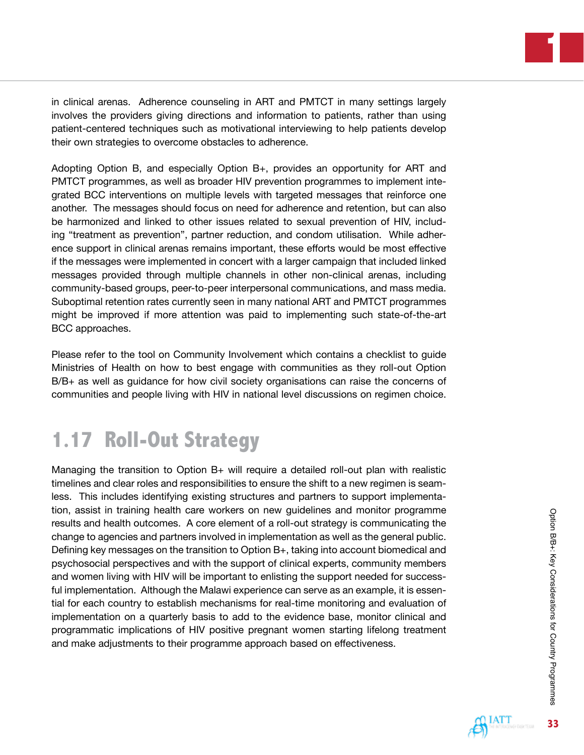**1**

in clinical arenas. Adherence counseling in ART and PMTCT in many settings largely involves the providers giving directions and information to patients, rather than using patient-centered techniques such as motivational interviewing to help patients develop their own strategies to overcome obstacles to adherence.

Adopting Option B, and especially Option B+, provides an opportunity for ART and PMTCT programmes, as well as broader HIV prevention programmes to implement integrated BCC interventions on multiple levels with targeted messages that reinforce one another. The messages should focus on need for adherence and retention, but can also be harmonized and linked to other issues related to sexual prevention of HIV, including "treatment as prevention", partner reduction, and condom utilisation. While adherence support in clinical arenas remains important, these efforts would be most effective if the messages were implemented in concert with a larger campaign that included linked messages provided through multiple channels in other non-clinical arenas, including community-based groups, peer-to-peer interpersonal communications, and mass media. Suboptimal retention rates currently seen in many national ART and PMTCT programmes might be improved if more attention was paid to implementing such state-of-the-art BCC approaches.

Please refer to the tool on Community Involvement which contains a checklist to guide Ministries of Health on how to best engage with communities as they roll-out Option B/B+ as well as guidance for how civil society organisations can raise the concerns of communities and people living with HIV in national level discussions on regimen choice.

# **1.17 Roll-Out Strategy**

Managing the transition to Option B+ will require a detailed roll-out plan with realistic timelines and clear roles and responsibilities to ensure the shift to a new regimen is seamless. This includes identifying existing structures and partners to support implementation, assist in training health care workers on new guidelines and monitor programme results and health outcomes. A core element of a roll-out strategy is communicating the change to agencies and partners involved in implementation as well as the general public. Defining key messages on the transition to Option B+, taking into account biomedical and psychosocial perspectives and with the support of clinical experts, community members and women living with HIV will be important to enlisting the support needed for successful implementation. Although the Malawi experience can serve as an example, it is essential for each country to establish mechanisms for real-time monitoring and evaluation of implementation on a quarterly basis to add to the evidence base, monitor clinical and programmatic implications of HIV positive pregnant women starting lifelong treatment and make adjustments to their programme approach based on effectiveness.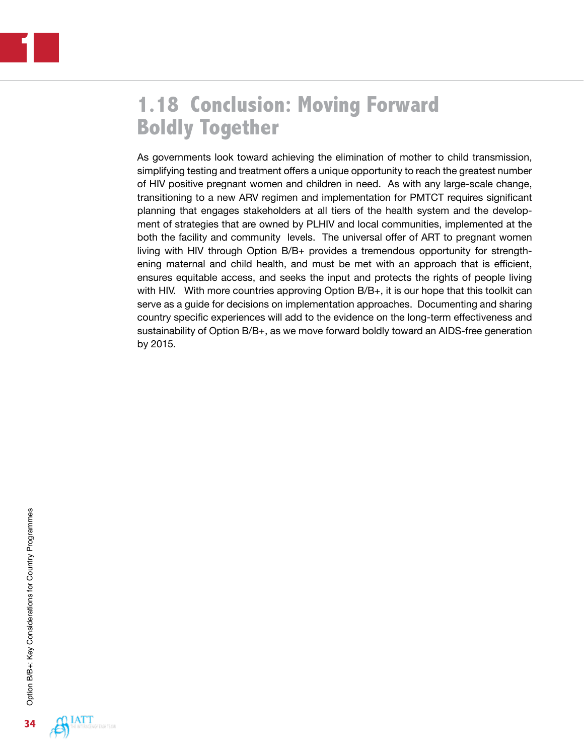# **1.18 Conclusion: Moving Forward Boldly Together**

As governments look toward achieving the elimination of mother to child transmission, simplifying testing and treatment offers a unique opportunity to reach the greatest number of HIV positive pregnant women and children in need. As with any large-scale change, transitioning to a new ARV regimen and implementation for PMTCT requires significant planning that engages stakeholders at all tiers of the health system and the development of strategies that are owned by PLHIV and local communities, implemented at the both the facility and community levels. The universal offer of ART to pregnant women living with HIV through Option B/B+ provides a tremendous opportunity for strengthening maternal and child health, and must be met with an approach that is efficient, ensures equitable access, and seeks the input and protects the rights of people living with HIV. With more countries approving Option B/B+, it is our hope that this toolkit can serve as a guide for decisions on implementation approaches. Documenting and sharing country specific experiences will add to the evidence on the long-term effectiveness and sustainability of Option B/B+, as we move forward boldly toward an AIDS-free generation by 2015.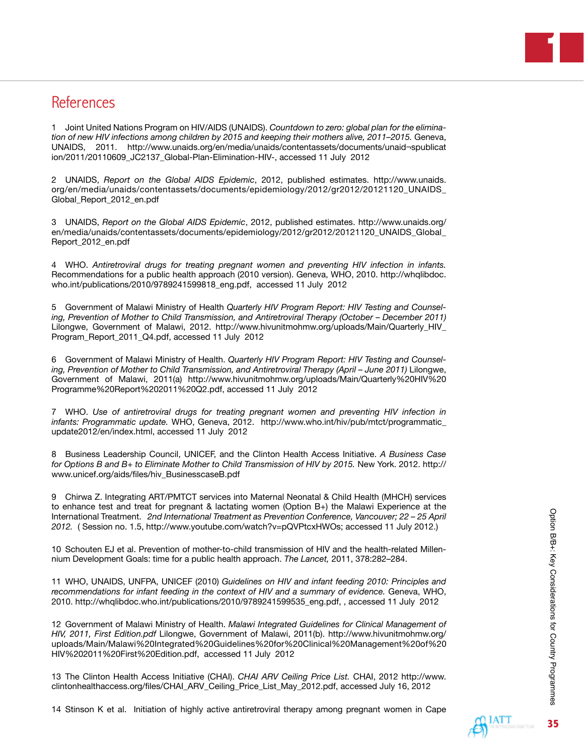# **References**

1 Joint United Nations Program on HIV/AIDS (UNAIDS). *Countdown to zero: global plan for the elimination of new HIV infections among children by 2015 and keeping their mothers alive, 2011–2015.* Geneva, UNAIDS, 2011. [http://www.unaids.org/en/media/unaids/contentassets/documents/unaid¬spublicat](http://www.unaids.org/en/media/unaids/contentassets/documents/unaid�spublication/2011/20110609_JC2137_Global-Plan-Elimination-HIV) [ion/2011/20110609\\_JC2137\\_Global-Plan-Elimination-HIV-](http://www.unaids.org/en/media/unaids/contentassets/documents/unaid�spublication/2011/20110609_JC2137_Global-Plan-Elimination-HIV), accessed 11 July 2012

2 UNAIDS, *Report on the Global AIDS Epidemic*, 2012, published estimates. [http://www.unaids.](http://www.unaids.org/en/media/unaids/contentassets/documents/epidemiology/2012/gr2012/20121120_UNAIDS_Global_Report_2012_en.pdf) [org/en/media/unaids/contentassets/documents/epidemiology/2012/gr2012/20121120\\_UNAIDS\\_](http://www.unaids.org/en/media/unaids/contentassets/documents/epidemiology/2012/gr2012/20121120_UNAIDS_Global_Report_2012_en.pdf) [Global\\_Report\\_2012\\_en.pdf](http://www.unaids.org/en/media/unaids/contentassets/documents/epidemiology/2012/gr2012/20121120_UNAIDS_Global_Report_2012_en.pdf)

3 UNAIDS, *Report on the Global AIDS Epidemic*, 2012, published estimates. [http://www.unaids.org/](http://www.unaids.org/en/media/unaids/contentassets/documents/epidemiology/2012/gr2012/20121120_UNAIDS_Global_Report_2012_en.pdf) [en/media/unaids/contentassets/documents/epidemiology/2012/gr2012/20121120\\_UNAIDS\\_Global\\_](http://www.unaids.org/en/media/unaids/contentassets/documents/epidemiology/2012/gr2012/20121120_UNAIDS_Global_Report_2012_en.pdf) [Report\\_2012\\_en.pdf](http://www.unaids.org/en/media/unaids/contentassets/documents/epidemiology/2012/gr2012/20121120_UNAIDS_Global_Report_2012_en.pdf)

4 WHO. *Antiretroviral drugs for treating pregnant women and preventing HIV infection in infants.*  Recommendations for a public health approach (2010 version). Geneva, WHO, 2010. [http://whqlibdoc.](http://whqlibdoc.who.int/publications/2010/9789241599818_eng.pdf) [who.int/publications/2010/9789241599818\\_eng.pdf,](http://whqlibdoc.who.int/publications/2010/9789241599818_eng.pdf) accessed 11 July 2012

5 Government of Malawi Ministry of Health *Quarterly HIV Program Report: HIV Testing and Counseling, Prevention of Mother to Child Transmission, and Antiretroviral Therapy (October – December 2011)* Lilongwe, Government of Malawi, 2012. [http://www.hivunitmohmw.org/uploads/Main/Quarterly\\_HIV\\_](http://www.hivunitmohmw.org/uploads/Main/Quarterly_HIV_Program_Report_2011_Q4.pd) [Program\\_Report\\_2011\\_Q4.pd](http://www.hivunitmohmw.org/uploads/Main/Quarterly_HIV_Program_Report_2011_Q4.pd)f, accessed 11 July 2012

6 Government of Malawi Ministry of Health. *Quarterly HIV Program Report: HIV Testing and Counsel*ing, Prevention of Mother to Child Transmission, and Antiretroviral Therapy (April – June 2011) Lilongwe, Government of Malawi, 2011(a) [http://www.hivunitmohmw.org/uploads/Main/Quarterly%20HIV%20](http://www.hivunitmohmw.org/uploads/Main/Quarterly%20HIV%20Programme%20Report%202011%20Q2.pdf) [Programme%20Report%202011%20Q2.pdf](http://www.hivunitmohmw.org/uploads/Main/Quarterly%20HIV%20Programme%20Report%202011%20Q2.pdf), accessed 11 July 2012

7 WHO. *Use of antiretroviral drugs for treating pregnant women and preventing HIV infection in infants: Programmatic update.* WHO, Geneva, 2012. [http://www.who.int/hiv/pub/mtct/programmatic\\_](http://www.who.int/hiv/pub/mtct/programmatic_update2012/en/index.html) [update2012/en/index.html,](http://www.who.int/hiv/pub/mtct/programmatic_update2012/en/index.html) accessed 11 July 2012

8 Business Leadership Council, UNICEF, and the Clinton Health Access Initiative. *A Business Case for Options B and B+ to Eliminate Mother to Child Transmission of HIV by 2015.* New York. 2012. [http://](http://www.unicef.org/aids/files/hiv_BusinesscaseB.pdf ) [www.unicef.org/aids/files/hiv\\_BusinesscaseB.pdf](http://www.unicef.org/aids/files/hiv_BusinesscaseB.pdf )

9 Chirwa Z. Integrating ART/PMTCT services into Maternal Neonatal & Child Health (MHCH) services to enhance test and treat for pregnant & lactating women (Option B+) the Malawi Experience at the International Treatment. *2nd International Treatment as Prevention Conference, Vancouver; 22 – 25 April 2012.* ( Session no. 1.5,<http://www.youtube.com/watch?v=pQVPtcxHWOs>; accessed 11 July 2012.)

10 Schouten EJ et al. Prevention of mother-to-child transmission of HIV and the health-related Millennium Development Goals: time for a public health approach. *The Lancet,* 2011, 378:282–284.

11 WHO, UNAIDS, UNFPA, UNICEF (2010) *Guidelines on HIV and infant feeding 2010: Principles and*  recommendations for infant feeding in the context of HIV and a summary of evidence. Geneva, WHO, 2010. [http://whqlibdoc.who.int/publications/2010/9789241599535\\_eng.pdf](http://whqlibdoc.who.int/publications/2010/9789241599535_eng.pdf), , accessed 11 July 2012

12 Government of Malawi Ministry of Health. *Malawi Integrated Guidelines for Clinical Management of HIV, 2011, First Edition.pdf* Lilongwe, Government of Malawi, 2011(b). [http://www.hivunitmohmw.org/](http://www.hivunitmohmw.org/uploads/Main/Malawi%20Integrated%20Guidelines%20for%20Clinical%20Management%20of%20HIV%202011%20First%20Edition.pdf) [uploads/Main/Malawi%20Integrated%20Guidelines%20for%20Clinical%20Management%20of%20](http://www.hivunitmohmw.org/uploads/Main/Malawi%20Integrated%20Guidelines%20for%20Clinical%20Management%20of%20HIV%202011%20First%20Edition.pdf) [HIV%202011%20First%20Edition.pdf,](http://www.hivunitmohmw.org/uploads/Main/Malawi%20Integrated%20Guidelines%20for%20Clinical%20Management%20of%20HIV%202011%20First%20Edition.pdf) accessed 11 July 2012

13 The Clinton Health Access Initiative (CHAI). *CHAI ARV Ceiling Price List.* CHAI, 2012 [http://www.](http://www.clintonhealthaccess.org/files/CHAI_ARV_Ceiling_Price_List_May_2012.pdf) [clintonhealthaccess.org/files/CHAI\\_ARV\\_Ceiling\\_Price\\_List\\_May\\_2012.pdf](http://www.clintonhealthaccess.org/files/CHAI_ARV_Ceiling_Price_List_May_2012.pdf), accessed July 16, 2012

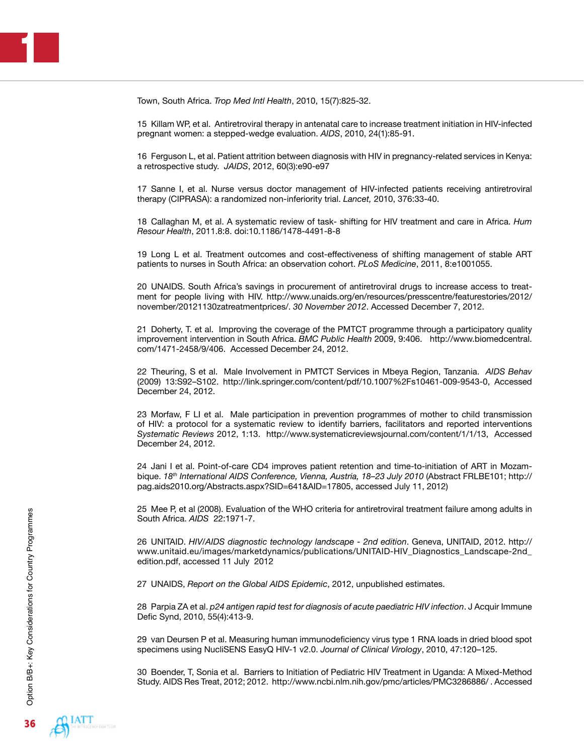Town, South Africa. *Trop Med Intl Health*, 2010, 15(7):825-32.

15 Killam WP, et al. Antiretroviral therapy in antenatal care to increase treatment initiation in HIV-infected pregnant women: a stepped-wedge evaluation. *AIDS*, 2010, 24(1):85-91.

16 Ferguson L, et al. Patient attrition between diagnosis with HIV in pregnancy-related services in Kenya: a retrospective study. *JAIDS*, 2012, 60(3):e90-e97

17 Sanne I, et al. Nurse versus doctor management of HIV-infected patients receiving antiretroviral therapy (CIPRASA): a randomized non-inferiority trial. *Lancet,* 2010, 376:33-40.

18 Callaghan M, et al. A systematic review of task- shifting for HIV treatment and care in Africa. *Hum Resour Health*, 2011.8:8. doi:10.1186/1478-4491-8-8

19 Long L et al. Treatment outcomes and cost-effectiveness of shifting management of stable ART patients to nurses in South Africa: an observation cohort. *PLoS Medicine*, 2011, 8:e1001055.

20 UNAIDS. South Africa's savings in procurement of antiretroviral drugs to increase access to treatment for people living with HIV. [http://www.unaids.org/en/resources/presscentre/featurestories/2012/](http://www.unaids.org/en/resources/presscentre/featurestories/2012/november/20121130zatreatmentprices/) [november/20121130zatreatmentprices/.](http://www.unaids.org/en/resources/presscentre/featurestories/2012/november/20121130zatreatmentprices/) *30 November 2012*. Accessed December 7, 2012.

21 Doherty, T. et al. Improving the coverage of the PMTCT programme through a participatory quality improvement intervention in South Africa. *BMC Public Health* 2009, 9:406. [http://www.biomedcentral.](http://www.biomedcentral.com/1471-2458/9/406) [com/1471-2458/9/406](http://www.biomedcentral.com/1471-2458/9/406). Accessed December 24, 2012.

22 Theuring, S et al. Male Involvement in PMTCT Services in Mbeya Region, Tanzania. *AIDS Behav* (2009) 13:S92–S102. <http://link.springer.com/content/pdf/10.1007%2Fs10461-009-9543-0>, Accessed December 24, 2012.

23 Morfaw, F LI et al. Male participation in prevention programmes of mother to child transmission of HIV: a protocol for a systematic review to identify barriers, facilitators and reported interventions *Systematic Reviews* 2012, 1:13. [http://www.systematicreviewsjournal.com/content/1/1/13,](http://www.systematicreviewsjournal.com/content/1/1/13) Accessed December 24, 2012.

24 Jani I et al. Point-of-care CD4 improves patient retention and time-to-initiation of ART in Mozambique. 18<sup>th</sup> International AIDS Conference, Vienna, Austria, 18-23 July 2010 (Abstract FRLBE101; [http://](http://pag.aids2010.org/Abstracts.aspx?SID=641&AID=17805) [pag.aids2010.org/Abstracts.aspx?SID=641&AID=17805,](http://pag.aids2010.org/Abstracts.aspx?SID=641&AID=17805) accessed July 11, 2012)

25 Mee P, et al (2008). Evaluation of the WHO criteria for antiretroviral treatment failure among adults in South Africa. *AIDS* 22:1971-7.

26 UNITAID. *HIV/AIDS diagnostic technology landscape - 2nd edition*. Geneva, UNITAID, 2012. [http://](http://www.unitaid.eu/images/marketdynamics/publications/UNITAID-HIV_Diagnostics_Landscape-2nd_edition.pdf) [www.unitaid.eu/images/marketdynamics/publications/UNITAID-HIV\\_Diagnostics\\_Landscape-2nd\\_](http://www.unitaid.eu/images/marketdynamics/publications/UNITAID-HIV_Diagnostics_Landscape-2nd_edition.pdf) [edition.pdf](http://www.unitaid.eu/images/marketdynamics/publications/UNITAID-HIV_Diagnostics_Landscape-2nd_edition.pdf), accessed 11 July 2012

27 UNAIDS, *Report on the Global AIDS Epidemic*, 2012, unpublished estimates.

28 Parpia ZA et al. *p24 antigen rapid test for diagnosis of acute paediatric HIV infection*. J Acquir Immune Defic Synd, 2010, 55(4):413-9.

29 van Deursen P et al. Measuring human immunodeficiency virus type 1 RNA loads in dried blood spot specimens using NucliSENS EasyQ HIV-1 v2.0. *Journal of Clinical Virology*, 2010, 47:120–125.

30 Boender, T, Sonia et al. Barriers to Initiation of Pediatric HIV Treatment in Uganda: A Mixed-Method Study. AIDS Res Treat, 2012; 2012. <http://www.ncbi.nlm.nih.gov/pmc/articles/PMC3286886/> . Accessed